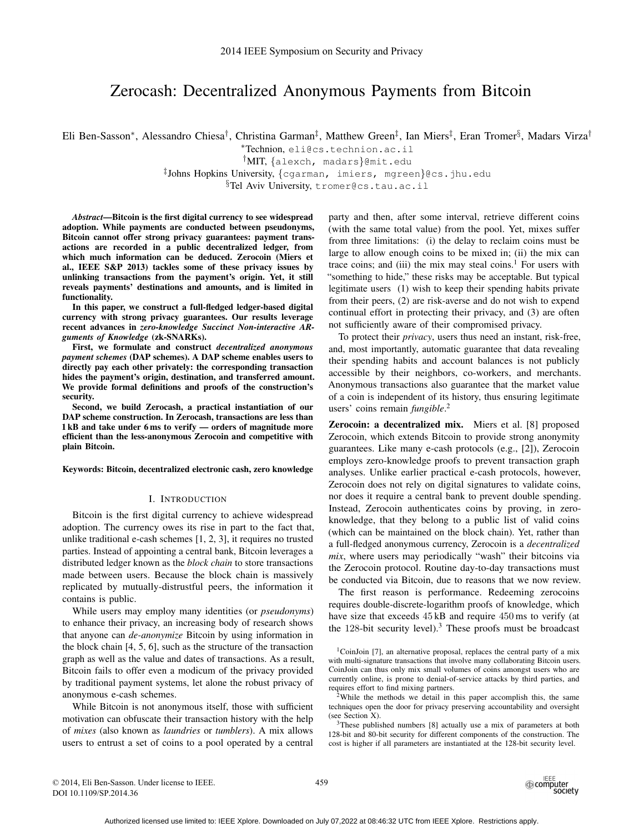# Zerocash: Decentralized Anonymous Payments from Bitcoin

Eli Ben-Sasson\*, Alessandro Chiesa<sup>†</sup>, Christina Garman<sup>‡</sup>, Matthew Green<sup>‡</sup>, Ian Miers<sup>‡</sup>, Eran Tromer<sup>§</sup>, Madars Virza<sup>†</sup>

<sup>∗</sup>Technion, eli@cs.technion.ac.il

†MIT, {alexch, madars}@mit.edu

‡ Johns Hopkins University, {cgarman, imiers, mgreen}@cs.jhu.edu

§Tel Aviv University, tromer@cs.tau.ac.il

*Abstract*—Bitcoin is the first digital currency to see widespread adoption. While payments are conducted between pseudonyms, Bitcoin cannot offer strong privacy guarantees: payment transactions are recorded in a public decentralized ledger, from which much information can be deduced. Zerocoin (Miers et al., IEEE S&P 2013) tackles some of these privacy issues by unlinking transactions from the payment's origin. Yet, it still reveals payments' destinations and amounts, and is limited in functionality.

In this paper, we construct a full-fledged ledger-based digital currency with strong privacy guarantees. Our results leverage recent advances in *zero-knowledge Succinct Non-interactive ARguments of Knowledge* (zk-SNARKs).

First, we formulate and construct *decentralized anonymous payment schemes* (DAP schemes). A DAP scheme enables users to directly pay each other privately: the corresponding transaction hides the payment's origin, destination, and transferred amount. We provide formal definitions and proofs of the construction's security.

Second, we build Zerocash, a practical instantiation of our DAP scheme construction. In Zerocash, transactions are less than 1 kB and take under 6 ms to verify — orders of magnitude more efficient than the less-anonymous Zerocoin and competitive with plain Bitcoin.

Keywords: Bitcoin, decentralized electronic cash, zero knowledge

#### I. INTRODUCTION

Bitcoin is the first digital currency to achieve widespread adoption. The currency owes its rise in part to the fact that, unlike traditional e-cash schemes [1, 2, 3], it requires no trusted parties. Instead of appointing a central bank, Bitcoin leverages a distributed ledger known as the *block chain* to store transactions made between users. Because the block chain is massively replicated by mutually-distrustful peers, the information it contains is public.

While users may employ many identities (or *pseudonyms*) to enhance their privacy, an increasing body of research shows that anyone can *de-anonymize* Bitcoin by using information in the block chain [4, 5, 6], such as the structure of the transaction graph as well as the value and dates of transactions. As a result, Bitcoin fails to offer even a modicum of the privacy provided by traditional payment systems, let alone the robust privacy of anonymous e-cash schemes.

While Bitcoin is not anonymous itself, those with sufficient motivation can obfuscate their transaction history with the help of *mixes* (also known as *laundries* or *tumblers*). A mix allows users to entrust a set of coins to a pool operated by a central

party and then, after some interval, retrieve different coins (with the same total value) from the pool. Yet, mixes suffer from three limitations: (i) the delay to reclaim coins must be large to allow enough coins to be mixed in; (ii) the mix can trace coins; and (iii) the mix may steal coins.<sup>1</sup> For users with "something to hide," these risks may be acceptable. But typical legitimate users (1) wish to keep their spending habits private from their peers, (2) are risk-averse and do not wish to expend continual effort in protecting their privacy, and (3) are often not sufficiently aware of their compromised privacy.

To protect their *privacy*, users thus need an instant, risk-free, and, most importantly, automatic guarantee that data revealing their spending habits and account balances is not publicly accessible by their neighbors, co-workers, and merchants. Anonymous transactions also guarantee that the market value of a coin is independent of its history, thus ensuring legitimate users' coins remain *fungible*. 2

Zerocoin: a decentralized mix. Miers et al. [8] proposed Zerocoin, which extends Bitcoin to provide strong anonymity guarantees. Like many e-cash protocols (e.g., [2]), Zerocoin employs zero-knowledge proofs to prevent transaction graph analyses. Unlike earlier practical e-cash protocols, however, Zerocoin does not rely on digital signatures to validate coins, nor does it require a central bank to prevent double spending. Instead, Zerocoin authenticates coins by proving, in zeroknowledge, that they belong to a public list of valid coins (which can be maintained on the block chain). Yet, rather than a full-fledged anonymous currency, Zerocoin is a *decentralized mix*, where users may periodically "wash" their bitcoins via the Zerocoin protocol. Routine day-to-day transactions must be conducted via Bitcoin, due to reasons that we now review.

The first reason is performance. Redeeming zerocoins requires double-discrete-logarithm proofs of knowledge, which have size that exceeds 45 kB and require 450 ms to verify (at the 128-bit security level).<sup>3</sup> These proofs must be broadcast

<sup>1</sup>CoinJoin [7], an alternative proposal, replaces the central party of a mix with multi-signature transactions that involve many collaborating Bitcoin users. CoinJoin can thus only mix small volumes of coins amongst users who are currently online, is prone to denial-of-service attacks by third parties, and requires effort to find mixing partners.

 $2$ While the methods we detail in this paper accomplish this, the same techniques open the door for privacy preserving accountability and oversight (see Section X).

<sup>3</sup>These published numbers [8] actually use a mix of parameters at both 128-bit and 80-bit security for different components of the construction. The cost is higher if all parameters are instantiated at the 128-bit security level.

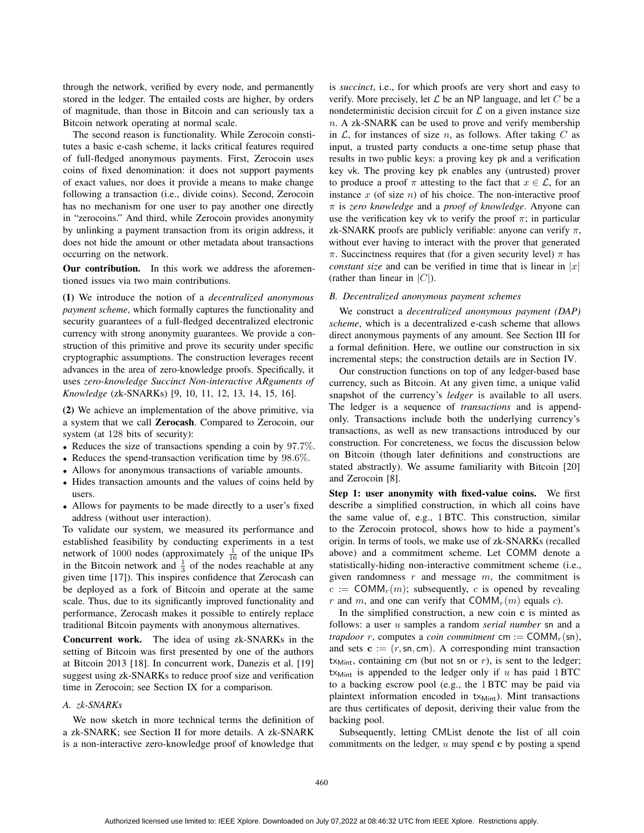through the network, verified by every node, and permanently stored in the ledger. The entailed costs are higher, by orders of magnitude, than those in Bitcoin and can seriously tax a Bitcoin network operating at normal scale.

The second reason is functionality. While Zerocoin constitutes a basic e-cash scheme, it lacks critical features required of full-fledged anonymous payments. First, Zerocoin uses coins of fixed denomination: it does not support payments of exact values, nor does it provide a means to make change following a transaction (i.e., divide coins). Second, Zerocoin has no mechanism for one user to pay another one directly in "zerocoins." And third, while Zerocoin provides anonymity by unlinking a payment transaction from its origin address, it does not hide the amount or other metadata about transactions occurring on the network.

Our contribution. In this work we address the aforementioned issues via two main contributions.

(1) We introduce the notion of a *decentralized anonymous payment scheme*, which formally captures the functionality and security guarantees of a full-fledged decentralized electronic currency with strong anonymity guarantees. We provide a construction of this primitive and prove its security under specific cryptographic assumptions. The construction leverages recent advances in the area of zero-knowledge proofs. Specifically, it uses *zero-knowledge Succinct Non-interactive ARguments of Knowledge* (zk-SNARKs) [9, 10, 11, 12, 13, 14, 15, 16].

(2) We achieve an implementation of the above primitive, via a system that we call Zerocash. Compared to Zerocoin, our system (at 128 bits of security):

- Reduces the size of transactions spending a coin by 97.7%.
- Reduces the spend-transaction verification time by 98.6%.
- Allows for anonymous transactions of variable amounts.
- Hides transaction amounts and the values of coins held by users.
- Allows for payments to be made directly to a user's fixed address (without user interaction).

To validate our system, we measured its performance and established feasibility by conducting experiments in a test network of 1000 nodes (approximately  $\frac{1}{16}$  of the unique IPs in the Bitcoin network and  $\frac{1}{3}$  of the nodes reachable at any given time [17]). This inspires confidence that Zerocash can be deployed as a fork of Bitcoin and operate at the same scale. Thus, due to its significantly improved functionality and performance, Zerocash makes it possible to entirely replace traditional Bitcoin payments with anonymous alternatives.

Concurrent work. The idea of using zk-SNARKs in the setting of Bitcoin was first presented by one of the authors at Bitcoin 2013 [18]. In concurrent work, Danezis et al. [19] suggest using zk-SNARKs to reduce proof size and verification time in Zerocoin; see Section IX for a comparison.

## *A. zk-SNARKs*

We now sketch in more technical terms the definition of a zk-SNARK; see Section II for more details. A zk-SNARK is a non-interactive zero-knowledge proof of knowledge that is *succinct*, i.e., for which proofs are very short and easy to verify. More precisely, let  $\mathcal L$  be an NP language, and let  $C$  be a nondeterministic decision circuit for  $\mathcal L$  on a given instance size  $n.$  A zk-SNARK can be used to prove and verify membership in  $\mathcal{L}$ , for instances of size n, as follows. After taking C as input, a trusted party conducts a one-time setup phase that results in two public keys: a proving key pk and a verification key vk. The proving key pk enables any (untrusted) prover to produce a proof  $\pi$  attesting to the fact that  $x \in \mathcal{L}$ , for an instance  $x$  (of size  $n$ ) of his choice. The non-interactive proof π is *zero knowledge* and a *proof of knowledge*. Anyone can use the verification key vk to verify the proof  $\pi$ ; in particular zk-SNARK proofs are publicly verifiable: anyone can verify  $\pi$ , without ever having to interact with the prover that generated π. Succinctness requires that (for a given security level)  $π$  has *constant size* and can be verified in time that is linear in  $|x|$ (rather than linear in  $|C|$ ).

#### *B. Decentralized anonymous payment schemes*

We construct a *decentralized anonymous payment (DAP) scheme*, which is a decentralized e-cash scheme that allows direct anonymous payments of any amount. See Section III for a formal definition. Here, we outline our construction in six incremental steps; the construction details are in Section IV.

Our construction functions on top of any ledger-based base currency, such as Bitcoin. At any given time, a unique valid snapshot of the currency's *ledger* is available to all users. The ledger is a sequence of *transactions* and is appendonly. Transactions include both the underlying currency's transactions, as well as new transactions introduced by our construction. For concreteness, we focus the discussion below on Bitcoin (though later definitions and constructions are stated abstractly). We assume familiarity with Bitcoin [20] and Zerocoin [8].

Step 1: user anonymity with fixed-value coins. We first describe a simplified construction, in which all coins have the same value of, e.g., 1BTC. This construction, similar to the Zerocoin protocol, shows how to hide a payment's origin. In terms of tools, we make use of zk-SNARKs (recalled above) and a commitment scheme. Let COMM denote a statistically-hiding non-interactive commitment scheme (i.e., given randomness  $r$  and message  $m$ , the commitment is  $c := \text{COMM}_r(m)$ ; subsequently, c is opened by revealing r and m, and one can verify that  $COMM<sub>r</sub>(m)$  equals c).

In the simplified construction, a new coin  $c$  is minted as follows: a user u samples a random *serial number* sn and a *trapdoor* r, computes a *coin commitment* cm :=  $COMM_r(\text{sn})$ , and sets  $\mathbf{c} := (r, \mathsf{sn}, \mathsf{cm})$ . A corresponding mint transaction tx<sub>Mint</sub>, containing cm (but not sn or  $r$ ), is sent to the ledger; t $x_{\text{Mint}}$  is appended to the ledger only if u has paid 1 BTC to a backing escrow pool (e.g., the 1BTC may be paid via plaintext information encoded in  $tx_{Mint}$ ). Mint transactions are thus certificates of deposit, deriving their value from the backing pool.

Subsequently, letting CMList denote the list of all coin commitments on the ledger,  $u$  may spend c by posting a spend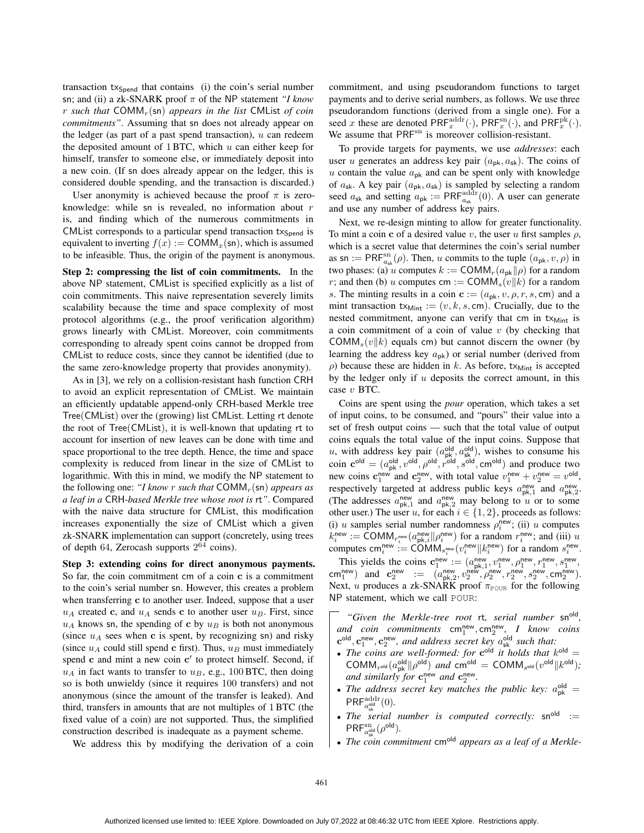transaction  $tx_{Spend}$  that contains (i) the coin's serial number sn; and (ii) a zk-SNARK proof π of the NP statement *"I know* r *such that* COMMr(sn) *appears in the list* CMList *of coin commitments"*. Assuming that sn does not already appear on the ledger (as part of a past spend transaction),  $u$  can redeem the deposited amount of  $1$  BTC, which u can either keep for himself, transfer to someone else, or immediately deposit into a new coin. (If sn does already appear on the ledger, this is considered double spending, and the transaction is discarded.)

User anonymity is achieved because the proof  $\pi$  is zeroknowledge: while sn is revealed, no information about  $r$ is, and finding which of the numerous commitments in CMList corresponds to a particular spend transaction tx<sub>Spend</sub> is equivalent to inverting  $f(x) := \text{COMM}_x(\text{sn})$ , which is assumed to be infeasible. Thus, the origin of the payment is anonymous.

Step 2: compressing the list of coin commitments. In the above NP statement, CMList is specified explicitly as a list of coin commitments. This naive representation severely limits scalability because the time and space complexity of most protocol algorithms (e.g., the proof verification algorithm) grows linearly with CMList. Moreover, coin commitments corresponding to already spent coins cannot be dropped from CMList to reduce costs, since they cannot be identified (due to the same zero-knowledge property that provides anonymity).

As in [3], we rely on a collision-resistant hash function CRH to avoid an explicit representation of CMList. We maintain an efficiently updatable append-only CRH-based Merkle tree Tree(CMList) over the (growing) list CMList. Letting rt denote the root of Tree(CMList), it is well-known that updating rt to account for insertion of new leaves can be done with time and space proportional to the tree depth. Hence, the time and space complexity is reduced from linear in the size of CMList to logarithmic. With this in mind, we modify the NP statement to the following one: "*I know r such that*  $COMM_r(\text{sn})$  *appears as a leaf in a* CRH*-based Merkle tree whose root is* rt*"*. Compared with the naive data structure for CMList, this modification increases exponentially the size of CMList which a given zk-SNARK implementation can support (concretely, using trees of depth 64, Zerocash supports  $2^{64}$  coins).

Step 3: extending coins for direct anonymous payments. So far, the coin commitment cm of a coin c is a commitment to the coin's serial number sn. However, this creates a problem when transferring c to another user. Indeed, suppose that a user  $u_A$  created c, and  $u_A$  sends c to another user  $u_B$ . First, since  $u_A$  knows sn, the spending of c by  $u_B$  is both not anonymous (since  $u_A$  sees when c is spent, by recognizing sn) and risky (since  $u_A$  could still spend c first). Thus,  $u_B$  must immediately spend  $\bf{c}$  and mint a new coin  $\bf{c}'$  to protect himself. Second, if  $u_A$  in fact wants to transfer to  $u_B$ , e.g., 100 BTC, then doing so is both unwieldy (since it requires 100 transfers) and not anonymous (since the amount of the transfer is leaked). And third, transfers in amounts that are not multiples of 1BTC (the fixed value of a coin) are not supported. Thus, the simplified construction described is inadequate as a payment scheme.

We address this by modifying the derivation of a coin

commitment, and using pseudorandom functions to target payments and to derive serial numbers, as follows. We use three pseudorandom functions (derived from a single one). For a seed x these are denoted  $\mathsf{PRF}^{\text{addr}}_x(\cdot)$ ,  $\mathsf{PRF}^{\text{sn}}_x(\cdot)$ , and  $\mathsf{PRF}^{\text{pk}}_x(\cdot)$ . We assume that PRF<sup>sn</sup> is moreover collision-resistant.

To provide targets for payments, we use *addresses*: each user u generates an address key pair  $(a_{pk}, a_{sk})$ . The coins of  $u$  contain the value  $a_{pk}$  and can be spent only with knowledge of  $a_{\rm sk}$ . A key pair  $(a_{\rm pk}, a_{\rm sk})$  is sampled by selecting a random seed  $a_{\rm sk}$  and setting  $a_{\rm pk} := \text{PRF}_{a_{\rm sk}}^{\text{addr}}(0)$ . A user can generate and use any number of address key pairs.

Next, we re-design minting to allow for greater functionality. To mint a coin c of a desired value v, the user u first samples  $\rho$ , which is a secret value that determines the coin's serial number as sn :=  $PRF_{a_{sk}}^{sn}(\rho)$ . Then, u commits to the tuple  $(a_{pk}, v, \rho)$  in two phases: (a) u computes  $k := \text{COMM}_r(a_{\text{pk}}||\rho)$  for a random r; and then (b) u computes cm := COMM<sub>s</sub> $(v||k)$  for a random s. The minting results in a coin  $\mathbf{c} := (a_{\rm pk}, v, \rho, r, s, \text{cm})$  and a mint transaction  $tx_{Mint} := (v, k, s, cm)$ . Crucially, due to the nested commitment, anyone can verify that cm in tx<sub>Mint</sub> is a coin commitment of a coin of value  $v$  (by checking that COMM<sub>s</sub> $(v||k)$  equals cm) but cannot discern the owner (by learning the address key  $a_{pk}$ ) or serial number (derived from  $\rho$ ) because these are hidden in k. As before, tx<sub>Mint</sub> is accepted by the ledger only if  $u$  deposits the correct amount, in this case v BTC.

Coins are spent using the *pour* operation, which takes a set of input coins, to be consumed, and "pours" their value into a set of fresh output coins — such that the total value of output coins equals the total value of the input coins. Suppose that u, with address key pair  $(a_{pk}^{old}, a_{sk}^{old})$ , wishes to consume his coin  $\mathbf{c}^{\text{old}} = (a_{\text{pk}}^{\text{old}}, v^{\text{old}}, \rho^{\text{old}}, r^{\text{old}}, s^{\text{old}}, \text{cm}^{\text{old}})$  and produce two new coins  $\mathbf{c}_1^{\text{new}}$  and  $\mathbf{c}_2^{\text{new}}$ , with total value  $v_1^{\text{new}} + v_2^{\text{new}} = v^{\text{old}}$ , respectively targeted at address public keys  $a_{\text{pk},1}^{\text{new}}$  and  $a_{\text{pk},2}^{\text{new}}$ . (The addresses  $a_{\text{pk},1}^{\text{new}}$  and  $a_{\text{pk},2}^{\text{new}}$  may belong to u or to some other user.) The user u, for each  $i \in \{1, 2\}$ , proceeds as follows: (i) u samples serial number randomness  $\rho_i^{\text{new}}$ ; (ii) u computes  $k_i^{\text{new}} := \text{COMM}_{r_i^{\text{new}}} (a_{\text{pk},i}^{\text{new}} || \rho_i^{\text{new}})$  for a random  $r_i^{\text{new}}$ ; and (iii) u computes  $\mathsf{cm}_i^{\mathsf{new}} := \mathsf{COMM}_{s_i^{\mathsf{new}}}(v_i^{\mathsf{new}} || k_i^{\mathsf{new}})$  for a random  $s_i^{\mathsf{new}}$ .

This yields the coins  $\mathbf{c}_1^{\text{new}} := (a_{\text{pk},1}^{\text{new}}, v_1^{\text{new}}, \rho_1^{\text{new}}, r_1^{\text{new}}, s_1^{\text{new}},$ cm<sup>new</sup>) and  $c_2^{\text{new}}$  :=  $(a_{pk,2}^{\text{new}}, v_2^{\text{new}}, \rho_2^{\text{new}}, r_2^{\text{new}}, s_2^{\text{new}}, \text{cm}_2^{\text{new}})$ . Next, u produces a zk-SNARK proof  $\pi_{\texttt{POUR}}$  for the following NP statement, which we call POUR:

"Given the Merkle-tree root rt, serial number sn<sup>old</sup>, and coin commitments  $\mathsf{cm}_1^{\mathsf{new}}, \mathsf{cm}_2^{\mathsf{new}}, \; I$  know coins  $\mathbf{c}^{\text{old}}, \mathbf{c}^{\text{new}}_1, \mathbf{c}^{\text{new}}_2,$  and address secret key  $a_{\text{sk}}^{\text{old}}$  such that:

- The coins are well-formed: for  $c^{old}$  it holds that  $k^{old} =$ COMM<sub>r</sub><sup>old</sup>  $(a_{\rm pk}^{\rm old} \| \rho^{\rm old})$  and cm<sup>old</sup> = COMM<sub>s</sub><sup>old</sup> ( $v^{\rm old} \| k^{\rm old}$ ); and similarly for  $\mathbf{c}_1^{\text{new}}$  and  $\mathbf{c}_2^{\text{new}}$ .
- The address secret key matches the public key:  $a_{pk}^{old}$  =  $\mathsf{PRF}_{a_{\scriptscriptstyle{\text{eV}}}^{\mathsf{old}}}^{\mathsf{addr}}(0).$
- *The serial number is computed correctly:*  $\sin^{old}$  :=  $\mathsf{PRF}_{a_{\sf cl}^{\sf old}}^{\sf sn}(\rho^{\sf old}).$
- *The coin commitment* cm<sup>old</sup> appears as a leaf of a Merkle-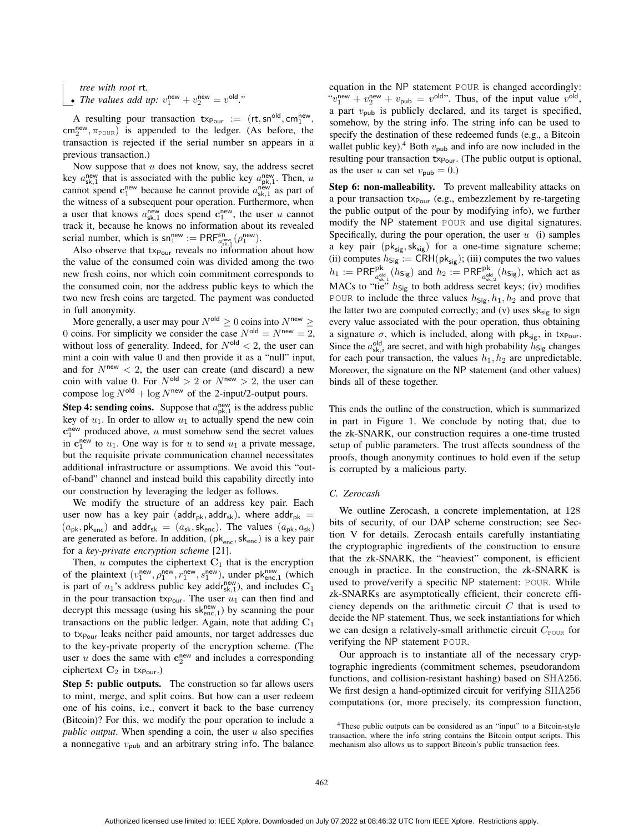*tree with root* rt*.* • *The values add up:*  $v_1^{\text{new}} + v_2^{\text{new}} = v^{\text{old}}$ ."

A resulting pour transaction  $tx_{\text{Pour}} := (rt, sn^{old}, cm_1^{\text{new}},$  $\text{cm}_2^{\text{new}}, \pi_{\text{POUR}}$ ) is appended to the ledger. (As before, the transaction is rejected if the serial number sn appears in a previous transaction.)

Now suppose that  $u$  does not know, say, the address secret key  $a_{sk,1}^{\text{new}}$  that is associated with the public key  $a_{pk,1}^{\text{new}}$ . Then, u cannot spend  $c_1^{\text{new}}$  because he cannot provide  $a_{sk,1}^{\text{new}}$  as part of the witness of a subsequent pour operation. Furthermore, when a user that knows  $a_{sk,1}^{\text{new}}$  does spend  $c_1^{\text{new}}$ , the user u cannot track it, because he knows no information about its revealed serial number, which is  $\mathsf{sn}^{\text{new}}_1 := \mathsf{PRF}^{\text{sn}}_{a_{\text{new}}^{\text{new}}}(\rho_1^{\text{new}})$ .

Also observe that tx<sub>Pour</sub> reveals no information about how the value of the consumed coin was divided among the two new fresh coins, nor which coin commitment corresponds to the consumed coin, nor the address public keys to which the two new fresh coins are targeted. The payment was conducted in full anonymity.

More generally, a user may pour  $N^{\text{old}} \geq 0$  coins into  $N^{\text{new}} \geq 1$ 0 coins. For simplicity we consider the case  $N^{\text{old}} = N^{\text{new}} = 2$ , without loss of generality. Indeed, for  $N^{\text{old}} < 2$ , the user can mint a coin with value 0 and then provide it as a "null" input, and for  $N^{new} < 2$ , the user can create (and discard) a new coin with value 0. For  $N^{\text{old}} > 2$  or  $N^{\text{new}} > 2$ , the user can compose  $\log N^{\text{old}} + \log N^{\text{new}}$  of the 2-input/2-output pours.

**Step 4: sending coins.** Suppose that  $a_{\text{pk},1}^{\text{new}}$  is the address public key of  $u_1$ . In order to allow  $u_1$  to actually spend the new coin  $c_1^{\text{new}}$  produced above, u must somehow send the secret values in  $c_1^{\text{new}}$  to  $u_1$ . One way is for u to send  $u_1$  a private message, but the requisite private communication channel necessitates additional infrastructure or assumptions. We avoid this "outof-band" channel and instead build this capability directly into our construction by leveraging the ledger as follows.

We modify the structure of an address key pair. Each user now has a key pair (addr<sub>pk</sub>, addr<sub>sk</sub>), where addr<sub>pk</sub> =  $(a_{\rm pk}, \rm pk_{\rm enc})$  and addr<sub>sk</sub> =  $(a_{\rm sk}, \rm sk_{\rm enc})$ . The values  $(a_{\rm pk}, a_{\rm sk})$ are generated as before. In addition,  $(\mathsf{pk}_{\mathsf{enc}}, \mathsf{sk}_{\mathsf{enc}})$  is a key pair for a *key-private encryption scheme* [21].

Then,  $u$  computes the ciphertext  $C_1$  that is the encryption of the plaintext  $(v_1^{\text{new}}, \rho_1^{\text{new}}, r_1^{\text{new}}, s_1^{\text{new}})$ , under  $\mathsf{pk}_{\text{enc},1}^{\text{new}}$  (which is part of  $u_1$ 's address public key addr<sub>sk,1</sub>), and includes  $C_1$ in the pour transaction tx<sub>Pour</sub>. The user  $u_1$  can then find and decrypt this message (using his  $sk_{enc,1}^{new}$ ) by scanning the pour transactions on the public ledger. Again, note that adding  $C_1$ to tx<sub>Pour</sub> leaks neither paid amounts, nor target addresses due to the key-private property of the encryption scheme. (The user u does the same with  $c_2^{\text{new}}$  and includes a corresponding ciphertext  $C_2$  in tx<sub>Pour</sub>.)

Step 5: public outputs. The construction so far allows users to mint, merge, and split coins. But how can a user redeem one of his coins, i.e., convert it back to the base currency (Bitcoin)? For this, we modify the pour operation to include a *public output*. When spending a coin, the user u also specifies a nonnegative  $v_{\text{pub}}$  and an arbitrary string info. The balance

equation in the NP statement POUR is changed accordingly: " $v_1^{\text{new}} + v_2^{\text{new}} + v_{\text{pub}} = v^{\text{old}}$ ". Thus, of the input value  $v^{\text{old}}$ , a part  $v_{\text{pub}}$  is publicly declared, and its target is specified, somehow, by the string info. The string info can be used to specify the destination of these redeemed funds (e.g., a Bitcoin wallet public key).<sup>4</sup> Both  $v_{\text{pub}}$  and info are now included in the resulting pour transaction tx<sub>Pour</sub>. (The public output is optional, as the user u can set  $v_{\text{pub}} = 0$ .)

Step 6: non-malleability. To prevent malleability attacks on a pour transaction  $tx_{Pour}$  (e.g., embezzlement by re-targeting the public output of the pour by modifying info), we further modify the NP statement POUR and use digital signatures. Specifically, during the pour operation, the user  $u$  (i) samples a key pair  $(\mathsf{pk}_{\mathsf{sig}},\mathsf{sk}_{\mathsf{sig}})$  for a one-time signature scheme; (ii) computes  $h_{\text{Sig}} := \text{CRH}(\text{pk}_{\text{sig}})$ ; (iii) computes the two values  $h_1 := \text{PRF}_{a_{\text{sk},1}^{old}}^{\text{pk}}(h_{\text{Sig}})$  and  $h_2 := \text{PRF}_{a_{\text{sk},2}^{old}}^{\text{pk}}(h_{\text{Sig}})$ , which act as MACs to "tie"  $h_{\text{Sig}}$  to both address secret keys; (iv) modifies POUR to include the three values  $h_{\text{Sig}}$ ,  $h_1$ ,  $h_2$  and prove that the latter two are computed correctly; and  $(v)$  uses  $sk_{sig}$  to sign every value associated with the pour operation, thus obtaining a signature  $\sigma$ , which is included, along with pk<sub>sig</sub>, in tx<sub>Pour</sub>. Since the  $a_{\text{sk},i}^{\text{old}}$  are secret, and with high probability  $h_{\text{Sig}}$  changes for each pour transaction, the values  $h_1, h_2$  are unpredictable. Moreover, the signature on the NP statement (and other values) binds all of these together.

This ends the outline of the construction, which is summarized in part in Figure 1. We conclude by noting that, due to the zk-SNARK, our construction requires a one-time trusted setup of public parameters. The trust affects soundness of the proofs, though anonymity continues to hold even if the setup is corrupted by a malicious party.

#### *C. Zerocash*

We outline Zerocash, a concrete implementation, at 128 bits of security, of our DAP scheme construction; see Section V for details. Zerocash entails carefully instantiating the cryptographic ingredients of the construction to ensure that the zk-SNARK, the "heaviest" component, is efficient enough in practice. In the construction, the zk-SNARK is used to prove/verify a specific NP statement: POUR. While zk-SNARKs are asymptotically efficient, their concrete efficiency depends on the arithmetic circuit  $C$  that is used to decide the NP statement. Thus, we seek instantiations for which we can design a relatively-small arithmetic circuit  $C_{\text{POUR}}$  for verifying the NP statement POUR.

Our approach is to instantiate all of the necessary cryptographic ingredients (commitment schemes, pseudorandom functions, and collision-resistant hashing) based on SHA256. We first design a hand-optimized circuit for verifying SHA256 computations (or, more precisely, its compression function,

<sup>4</sup>These public outputs can be considered as an "input" to a Bitcoin-style transaction, where the info string contains the Bitcoin output scripts. This mechanism also allows us to support Bitcoin's public transaction fees.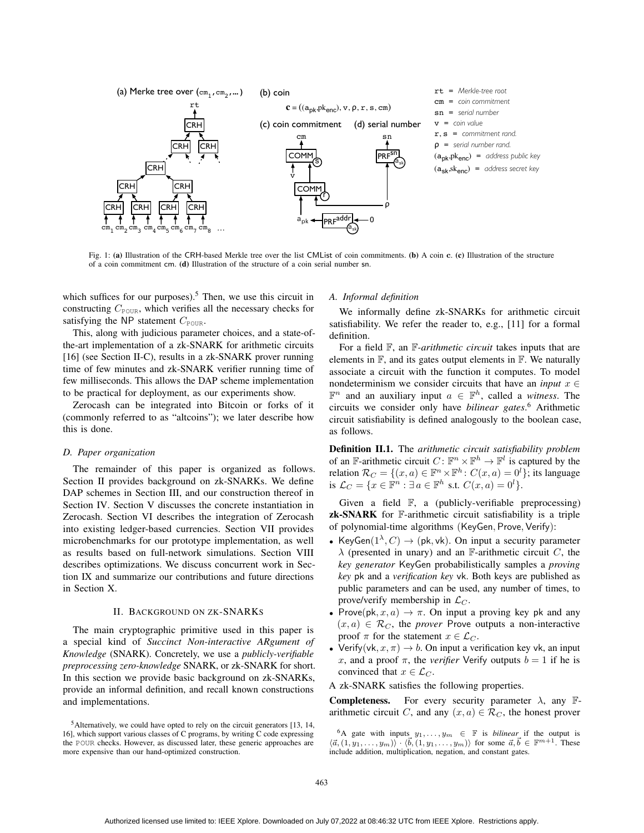

Fig. 1: (a) Illustration of the CRH-based Merkle tree over the list CMList of coin commitments. (b) A coin c. (c) Illustration of the structure of a coin commitment cm. (d) Illustration of the structure of a coin serial number sn.

which suffices for our purposes).<sup>5</sup> Then, we use this circuit in constructing  $C_{\text{POUR}}$ , which verifies all the necessary checks for satisfying the NP statement  $C_{\text{POUR}}$ .

This, along with judicious parameter choices, and a state-ofthe-art implementation of a zk-SNARK for arithmetic circuits [16] (see Section II-C), results in a zk-SNARK prover running time of few minutes and zk-SNARK verifier running time of few milliseconds. This allows the DAP scheme implementation to be practical for deployment, as our experiments show.

Zerocash can be integrated into Bitcoin or forks of it (commonly referred to as "altcoins"); we later describe how this is done.

#### *D. Paper organization*

The remainder of this paper is organized as follows. Section II provides background on zk-SNARKs. We define DAP schemes in Section III, and our construction thereof in Section IV. Section V discusses the concrete instantiation in Zerocash. Section VI describes the integration of Zerocash into existing ledger-based currencies. Section VII provides microbenchmarks for our prototype implementation, as well as results based on full-network simulations. Section VIII describes optimizations. We discuss concurrent work in Section IX and summarize our contributions and future directions in Section X.

#### II. BACKGROUND ON ZK-SNARKS

The main cryptographic primitive used in this paper is a special kind of *Succinct Non-interactive ARgument of Knowledge* (SNARK). Concretely, we use a *publicly-verifiable preprocessing zero-knowledge* SNARK, or zk-SNARK for short. In this section we provide basic background on zk-SNARKs, provide an informal definition, and recall known constructions and implementations.

#### *A. Informal definition*

We informally define zk-SNARKs for arithmetic circuit satisfiability. We refer the reader to, e.g., [11] for a formal definition.

For a field F, an F*-arithmetic circuit* takes inputs that are elements in  $\mathbb{F}$ , and its gates output elements in  $\mathbb{F}$ . We naturally associate a circuit with the function it computes. To model nondeterminism we consider circuits that have an *input*  $x \in$  $\mathbb{F}^n$  and an auxiliary input  $a \in \mathbb{F}^h$ , called a *witness*. The circuits we consider only have *bilinear gates*. <sup>6</sup> Arithmetic circuit satisfiability is defined analogously to the boolean case, as follows.

Definition II.1. The *arithmetic circuit satisfiability problem* of an F-arithmetic circuit  $C: \mathbb{F}^n \times \mathbb{F}^h \to \mathbb{F}^l$  is captured by the relation  $\mathcal{R}_C = \{(x, a) \in \mathbb{F}^n \times \mathbb{F}^h : C(x, a) = 0^l\}$ ; its language is  $\mathcal{L}_C = \{x \in \mathbb{F}^n : \exists a \in \mathbb{F}^h \text{ s.t. } C(x, a) = 0^l\}.$ 

Given a field F, a (publicly-verifiable preprocessing) zk-SNARK for F-arithmetic circuit satisfiability is a triple of polynomial-time algorithms (KeyGen, Prove, Verify):

- KeyGen $(1^{\lambda}, C) \rightarrow (pk, vk)$ . On input a security parameter  $\lambda$  (presented in unary) and an F-arithmetic circuit C, the *key generator* KeyGen probabilistically samples a *proving key* pk and a *verification key* vk. Both keys are published as public parameters and can be used, any number of times, to prove/verify membership in  $\mathcal{L}_C$ .
- Prove(pk,  $x, a) \rightarrow \pi$ . On input a proving key pk and any  $(x, a) \in \mathcal{R}_C$ , the *prover* Prove outputs a non-interactive proof  $\pi$  for the statement  $x \in \mathcal{L}_C$ .
- Verify(vk,  $x, \pi$ )  $\rightarrow$  b. On input a verification key vk, an input x, and a proof  $\pi$ , the *verifier* Verify outputs  $b = 1$  if he is convinced that  $x \in \mathcal{L}_C$ .

A zk-SNARK satisfies the following properties.

**Completeness.** For every security parameter  $\lambda$ , any Farithmetic circuit C, and any  $(x, a) \in \mathcal{R}_C$ , the honest prover

<sup>5</sup>Alternatively, we could have opted to rely on the circuit generators [13, 14, 16], which support various classes of C programs, by writing C code expressing the POUR checks. However, as discussed later, these generic approaches are more expensive than our hand-optimized construction.

<sup>&</sup>lt;sup>6</sup>A gate with inputs  $y_1, \ldots, y_m \in \mathbb{F}$  is *bilinear* if the output is  $\langle \vec{a}, (1, y_1, \ldots, y_m) \rangle \cdot \langle \vec{b}, (1, y_1, \ldots, y_m) \rangle$  for some  $\vec{a}, \vec{b} \in \mathbb{F}^{m+1}$ . These include addition, multiplication, negation, and constant gates.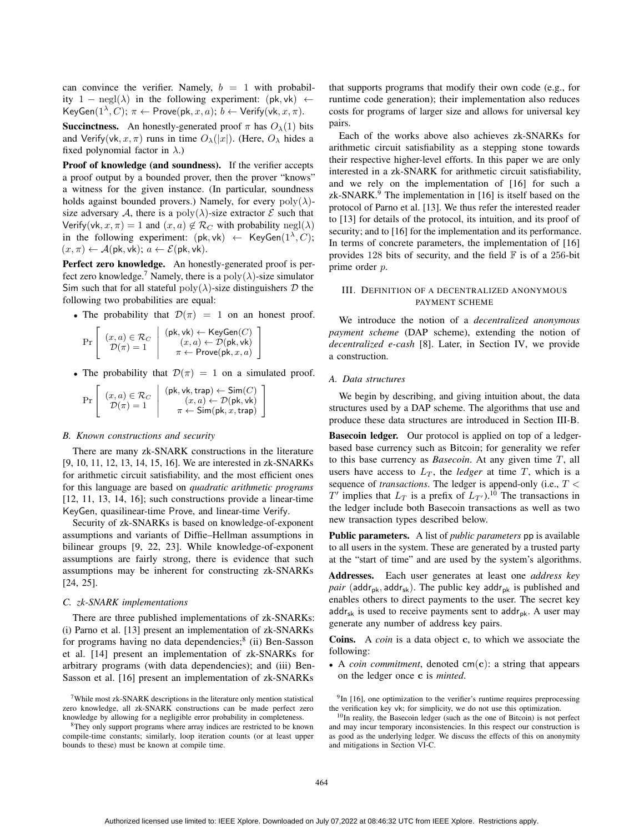can convince the verifier. Namely,  $b = 1$  with probability 1 – negl( $\lambda$ ) in the following experiment: (pk, vk)  $\leftarrow$ KeyGen $(1^{\lambda}, C)$ ;  $\pi \leftarrow$  Prove $(\mathsf{pk}, x, a)$ ;  $b \leftarrow$  Verify $(\mathsf{vk}, x, \pi)$ .

**Succinctness.** An honestly-generated proof  $\pi$  has  $O_{\lambda}(1)$  bits and Verify(vk, x,  $\pi$ ) runs in time  $O_{\lambda}(|x|)$ . (Here,  $O_{\lambda}$  hides a fixed polynomial factor in  $\lambda$ .)

Proof of knowledge (and soundness). If the verifier accepts a proof output by a bounded prover, then the prover "knows" a witness for the given instance. (In particular, soundness holds against bounded provers.) Namely, for every  $poly(\lambda)$ size adversary A, there is a  $poly(\lambda)$ -size extractor E such that Verify(vk,  $x, \pi$ ) = 1 and  $(x, a) \notin \mathcal{R}_C$  with probability negl( $\lambda$ ) in the following experiment:  $(\mathsf{pk}, \mathsf{vk}) \leftarrow \mathsf{KeyGen}(1^\lambda, C);$  $(x, \pi) \leftarrow \mathcal{A}(\mathsf{pk}, \mathsf{vk}); a \leftarrow \mathcal{E}(\mathsf{pk}, \mathsf{vk}).$ 

Perfect zero knowledge. An honestly-generated proof is perfect zero knowledge.<sup>7</sup> Namely, there is a poly $(\lambda)$ -size simulator Sim such that for all stateful  $poly(\lambda)$ -size distinguishers  $D$  the following two probabilities are equal:

• The probability that  $\mathcal{D}(\pi) = 1$  on an honest proof.

$$
\Pr\left[\begin{array}{c} (x,a) \in \mathcal{R}_C \\ \mathcal{D}(\pi) = 1 \end{array} \middle| \begin{array}{c} (\mathsf{pk},\mathsf{vk}) \leftarrow \mathsf{KeyGen}(C) \\ (x,a) \leftarrow \mathcal{D}(\mathsf{pk},\mathsf{vk}) \\ \pi \leftarrow \mathsf{Prove}(\mathsf{pk},x,a) \end{array} \right] \right]
$$

• The probability that  $\mathcal{D}(\pi) = 1$  on a simulated proof.

| Pr | $(x,a) \in \mathcal{R}_C$<br>$\mathcal{D}(\pi)=1$ | $(\mathsf{pk}, \mathsf{vk}, \mathsf{trap}) \leftarrow \mathsf{Sim}(C)$<br>$(x, a) \leftarrow \mathcal{D}(\mathsf{pk}, \mathsf{vk})$<br>$\pi \leftarrow \mathsf{Sim}(\mathsf{pk}, x, \mathsf{trap})$ |
|----|---------------------------------------------------|-----------------------------------------------------------------------------------------------------------------------------------------------------------------------------------------------------|
|----|---------------------------------------------------|-----------------------------------------------------------------------------------------------------------------------------------------------------------------------------------------------------|

#### *B. Known constructions and security*

There are many zk-SNARK constructions in the literature [9, 10, 11, 12, 13, 14, 15, 16]. We are interested in zk-SNARKs for arithmetic circuit satisfiability, and the most efficient ones for this language are based on *quadratic arithmetic programs* [12, 11, 13, 14, 16]; such constructions provide a linear-time KeyGen, quasilinear-time Prove, and linear-time Verify.

Security of zk-SNARKs is based on knowledge-of-exponent assumptions and variants of Diffie–Hellman assumptions in bilinear groups [9, 22, 23]. While knowledge-of-exponent assumptions are fairly strong, there is evidence that such assumptions may be inherent for constructing zk-SNARKs [24, 25].

#### *C. zk-SNARK implementations*

There are three published implementations of zk-SNARKs: (i) Parno et al. [13] present an implementation of zk-SNARKs for programs having no data dependencies;<sup>8</sup> (ii) Ben-Sasson et al. [14] present an implementation of zk-SNARKs for arbitrary programs (with data dependencies); and (iii) Ben-Sasson et al. [16] present an implementation of zk-SNARKs

that supports programs that modify their own code (e.g., for runtime code generation); their implementation also reduces costs for programs of larger size and allows for universal key pairs.

Each of the works above also achieves zk-SNARKs for arithmetic circuit satisfiability as a stepping stone towards their respective higher-level efforts. In this paper we are only interested in a zk-SNARK for arithmetic circuit satisfiability, and we rely on the implementation of [16] for such a zk-SNARK.<sup>9</sup> The implementation in [16] is itself based on the protocol of Parno et al. [13]. We thus refer the interested reader to [13] for details of the protocol, its intuition, and its proof of security; and to [16] for the implementation and its performance. In terms of concrete parameters, the implementation of [16] provides 128 bits of security, and the field  $\mathbb F$  is of a 256-bit prime order p.

#### III. DEFINITION OF A DECENTRALIZED ANONYMOUS PAYMENT SCHEME

We introduce the notion of a *decentralized anonymous payment scheme* (DAP scheme), extending the notion of *decentralized e-cash* [8]. Later, in Section IV, we provide a construction.

#### *A. Data structures*

We begin by describing, and giving intuition about, the data structures used by a DAP scheme. The algorithms that use and produce these data structures are introduced in Section III-B.

Basecoin ledger. Our protocol is applied on top of a ledgerbased base currency such as Bitcoin; for generality we refer to this base currency as *Basecoin*. At any given time T, all users have access to  $L_T$ , the *ledger* at time  $T$ , which is a sequence of *transactions*. The ledger is append-only (i.e., T <  $T'$  implies that  $L_T$  is a prefix of  $L_{T'}$ ).<sup>10</sup> The transactions in the ledger include both Basecoin transactions as well as two new transaction types described below.

Public parameters. A list of *public parameters* pp is available to all users in the system. These are generated by a trusted party at the "start of time" and are used by the system's algorithms.

Addresses. Each user generates at least one *address key pair* (addr<sub>pk</sub>, addr<sub>sk</sub>). The public key addr<sub>pk</sub> is published and enables others to direct payments to the user. The secret key  $\mathsf{addr}_{\mathsf{sk}}$  is used to receive payments sent to  $\mathsf{addr}_{\mathsf{pk}}$ . A user may generate any number of address key pairs.

Coins. A *coin* is a data object c, to which we associate the following:

• A *coin commitment*, denoted cm(c): a string that appears on the ledger once c is *minted*.

 $9$ In [16], one optimization to the verifier's runtime requires preprocessing the verification key vk; for simplicity, we do not use this optimization.

 $7$ While most zk-SNARK descriptions in the literature only mention statistical zero knowledge, all zk-SNARK constructions can be made perfect zero knowledge by allowing for a negligible error probability in completeness.

<sup>&</sup>lt;sup>8</sup>They only support programs where array indices are restricted to be known compile-time constants; similarly, loop iteration counts (or at least upper bounds to these) must be known at compile time.

<sup>&</sup>lt;sup>10</sup>In reality, the Basecoin ledger (such as the one of Bitcoin) is not perfect and may incur temporary inconsistencies. In this respect our construction is as good as the underlying ledger. We discuss the effects of this on anonymity and mitigations in Section VI-C.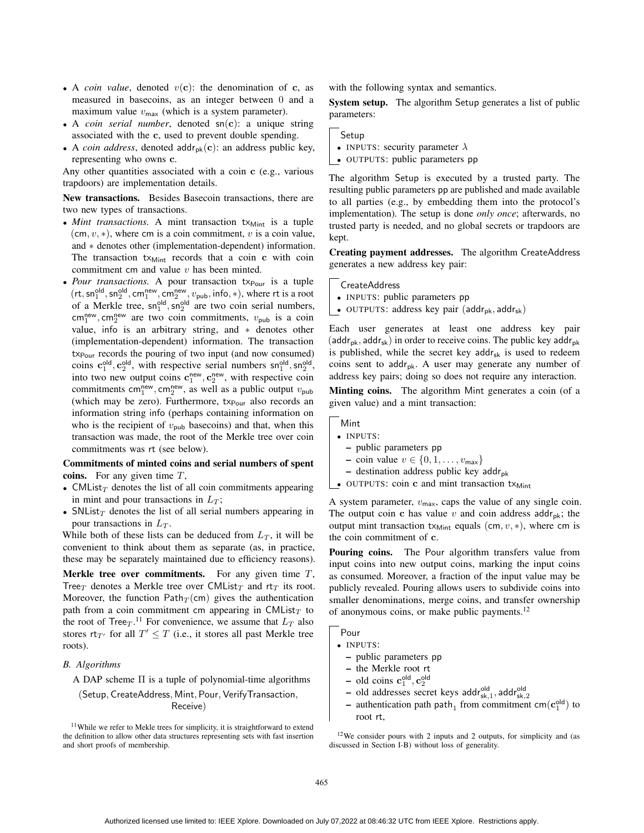- A *coin value*, denoted  $v(c)$ : the denomination of c, as measured in basecoins, as an integer between 0 and a maximum value  $v_{\text{max}}$  (which is a system parameter).
- A *coin serial number*, denoted sn(c): a unique string associated with the c, used to prevent double spending.
- A *coin address*, denoted addr<sub>pk</sub> $(c)$ : an address public key, representing who owns c.

Any other quantities associated with a coin c (e.g., various trapdoors) are implementation details.

New transactions. Besides Basecoin transactions, there are two new types of transactions.

- *Mint transactions*. A mint transaction  $tx_{\text{Mint}}$  is a tuple  $(\textsf{cm}, v, *)$ , where cm is a coin commitment, v is a coin value, and ∗ denotes other (implementation-dependent) information. The transaction  $tx_{Mint}$  records that a coin c with coin commitment cm and value  $v$  has been minted.
- *Pour transactions*. A pour transaction tx<sub>Pour</sub> is a tuple  $(rt, sn_1^{\text{old}}, sn_2^{\text{old}}, cm_1^{\text{new}}, cm_2^{\text{new}}, v_{\text{pub}}, info, *),$  where rt is a root of a Merkle tree,  $\text{sn}_1^{\text{old}}, \text{sn}_2^{\text{old}}$  are two coin serial numbers,  $\text{cm}_1^{\text{new}}, \text{cm}_2^{\text{new}}$  are two coin commitments,  $v_{\text{pub}}$  is a coin value, info is an arbitrary string, and ∗ denotes other (implementation-dependent) information. The transaction  $tx_{Pour}$  records the pouring of two input (and now consumed) coins  $c_1^{\text{old}}, c_2^{\text{old}}$ , with respective serial numbers  $\text{sn}_1^{\text{old}}, \text{sn}_2^{\text{old}}$ , into two new output coins  $c_1^{\text{new}}, c_2^{\text{new}},$  with respective coin commitments cm<sup>new</sup>, cm<sup>new</sup>, as well as a public output  $v_{\text{pub}}$ (which may be zero). Furthermore,  $tx_{\text{Pour}}$  also records an information string info (perhaps containing information on who is the recipient of  $v_{\text{pub}}$  basecoins) and that, when this transaction was made, the root of the Merkle tree over coin commitments was rt (see below).

## Commitments of minted coins and serial numbers of spent coins. For any given time  $T$ ,

- CMList $\tau$  denotes the list of all coin commitments appearing in mint and pour transactions in  $L_T$ ;
- SNList<sub>T</sub> denotes the list of all serial numbers appearing in pour transactions in  $L_T$ .

While both of these lists can be deduced from  $L_T$ , it will be convenient to think about them as separate (as, in practice, these may be separately maintained due to efficiency reasons).

**Merkle tree over commitments.** For any given time  $T$ , Tree $_T$  denotes a Merkle tree over CMList $_T$  and rt $_T$  its root. Moreover, the function Path $_T$  (cm) gives the authentication path from a coin commitment cm appearing in CMList $_T$  to the root of Tree $_T$ .<sup>11</sup> For convenience, we assume that  $L_T$  also stores  $rt_{T'}$  for all  $T' \leq T$  (i.e., it stores all past Merkle tree roots).

#### *B. Algorithms*

A DAP scheme Π is a tuple of polynomial-time algorithms

(Setup, CreateAddress, Mint, Pour, VerifyTransaction, Receive)

with the following syntax and semantics.

System setup. The algorithm Setup generates a list of public parameters:

Setup

- INPUTS: security parameter  $\lambda$
- OUTPUTS: public parameters pp

The algorithm Setup is executed by a trusted party. The resulting public parameters pp are published and made available to all parties (e.g., by embedding them into the protocol's implementation). The setup is done *only once*; afterwards, no trusted party is needed, and no global secrets or trapdoors are kept.

Creating payment addresses. The algorithm CreateAddress generates a new address key pair:

CreateAddress

- INPUTS: public parameters pp
- OUTPUTS: address key pair ( $\text{addr}_{pk}$ ,  $\text{addr}_{sk}$ )

Each user generates at least one address key pair (addr<sub>pk</sub>, addr<sub>sk</sub>) in order to receive coins. The public key addr<sub>pk</sub> is published, while the secret key  $addr_{sk}$  is used to redeem coins sent to addr<sub>pk</sub>. A user may generate any number of address key pairs; doing so does not require any interaction.

Minting coins. The algorithm Mint generates a coin (of a given value) and a mint transaction:

Mint

- INPUTS:
	- public parameters pp
	- coin value  $v \in \{0, 1, \ldots, v_{\text{max}}\}\$
	- destination address public key addr<sub>pk</sub>
- OUTPUTS: coin  $\bf{c}$  and mint transaction  $tx_{\text{Mint}}$

A system parameter,  $v_{\text{max}}$ , caps the value of any single coin. The output coin c has value v and coin address addr<sub>pk</sub>; the output mint transaction  $tx_{Mint}$  equals (cm,  $v, *$ ), where cm is the coin commitment of c.

Pouring coins. The Pour algorithm transfers value from input coins into new output coins, marking the input coins as consumed. Moreover, a fraction of the input value may be publicly revealed. Pouring allows users to subdivide coins into smaller denominations, merge coins, and transfer ownership of anonymous coins, or make public payments.<sup>12</sup>

Pour

• INPUTS:

- public parameters pp
- the Merkle root rt
- $-$  old coins  $\mathbf{c}_1^{\text{old}}, \mathbf{c}_2^{\text{old}}$
- old addresses secret keys addr<sup>old</sup>sk,<sub>1</sub>, addr<sup>old</sup>sk,<sub>2</sub>
- authentication path path<sub>1</sub> from commitment cm( $c_1^{\text{old}}$ ) to root rt,

 $12$ We consider pours with 2 inputs and 2 outputs, for simplicity and (as discussed in Section I-B) without loss of generality.

<sup>&</sup>lt;sup>11</sup>While we refer to Mekle trees for simplicity, it is straightforward to extend the definition to allow other data structures representing sets with fast insertion and short proofs of membership.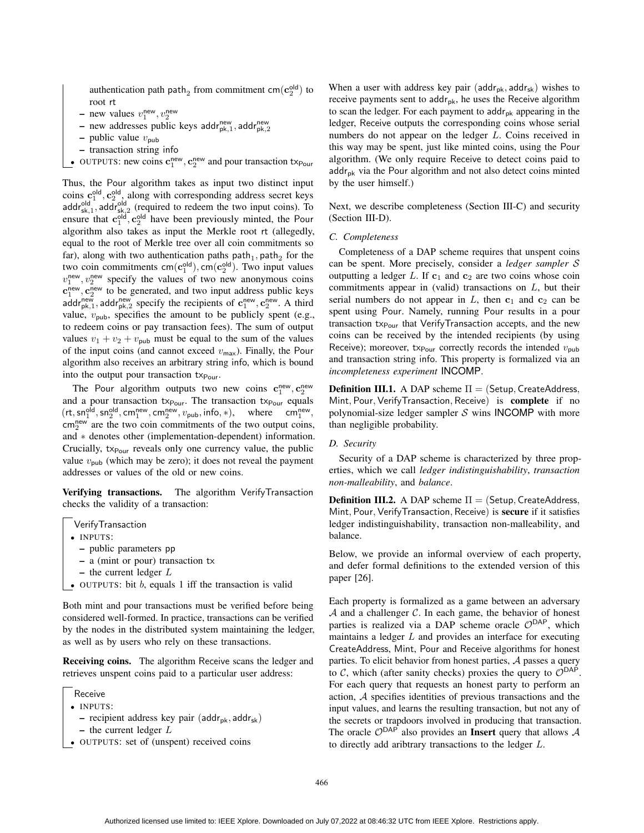authentication path path<sub>2</sub> from commitment cm( $\mathbf{c}_2^{\text{old}}$ ) to root rt

- new values  $v_1^{\text{new}}, v_2^{\text{new}}$
- new addresses public keys addr<sup>new</sup>, addr<sup>new</sup>
- public value  $v_{\text{pub}}$
- transaction string info

OUTPUTS: new coins  $\mathbf{c}_1^{\text{new}}, \mathbf{c}_2^{\text{new}}$  and pour transaction  $\text{tx}_{\text{Pour}}$ 

Thus, the Pour algorithm takes as input two distinct input coins  $c_1^{\text{old}}$ ,  $c_2^{\text{old}}$ , along with corresponding address secret keys addr<sup>old</sup>, addr<sub>sk,2</sub> (required to redeem the two input coins). To ensure that  $c_1^{\text{old}}, c_2^{\text{old}}$  have been previously minted, the Pour algorithm also takes as input the Merkle root rt (allegedly, equal to the root of Merkle tree over all coin commitments so far), along with two authentication paths  $path_1$ ,  $path_2$  for the two coin commitments  $\text{cm}(\textbf{c}_1^{\text{old}}), \text{cm}(\textbf{c}_2^{\text{old}})$ . Two input values  $v_1^{\text{new}}, v_2^{\text{new}}$  specify the values of two new anonymous coins  $c_1^{\text{new}}, c_2^{\text{new}}$  to be generated, and two input address public keys addr<sup>new</sup>, addr<sup>new</sup> specify the recipients of  $\mathbf{c}_1^{\text{new}}, \mathbf{c}_2^{\text{new}}$ . A third value,  $v_{\text{pub}}$ , specifies the amount to be publicly spent (e.g., to redeem coins or pay transaction fees). The sum of output values  $v_1 + v_2 + v_{\text{pub}}$  must be equal to the sum of the values of the input coins (and cannot exceed  $v_{\text{max}}$ ). Finally, the Pour algorithm also receives an arbitrary string info, which is bound into the output pour transaction tx<sub>Pour</sub>.

The Pour algorithm outputs two new coins  $\mathbf{c}_1^{\text{new}}, \mathbf{c}_2^{\text{new}}$ and a pour transaction  $tx_{Pour}$ . The transaction  $tx_{Pour}$  equals  $(rt, sn_1^{\text{old}}, sn_2^{\text{old}}, cm_1^{\text{new}}, cm_2^{\text{new}}, v_{\text{pub}}, info, *),$  where  $cm_1^{\text{new}},$  $\text{cm}_{2}^{\text{new}}$  are the two coin commitments of the two output coins, and ∗ denotes other (implementation-dependent) information. Crucially,  $tx_{\text{Pour}}$  reveals only one currency value, the public value  $v_{\text{pub}}$  (which may be zero); it does not reveal the payment addresses or values of the old or new coins.

Verifying transactions. The algorithm VerifyTransaction checks the validity of a transaction:

VerifyTransaction

- INPUTS:
- public parameters pp
- a (mint or pour) transaction tx
- $-$  the current ledger  $L$
- OUTPUTS: bit  $b$ , equals 1 iff the transaction is valid

Both mint and pour transactions must be verified before being considered well-formed. In practice, transactions can be verified by the nodes in the distributed system maintaining the ledger, as well as by users who rely on these transactions.

Receiving coins. The algorithm Receive scans the ledger and retrieves unspent coins paid to a particular user address:

- recipient address key pair (addr<sub>pk</sub>, addr<sub>sk</sub>) – the current ledger  $L$
- OUTPUTS: set of (unspent) received coins

When a user with address key pair ( $\text{addr}_{\text{pk}}$ ,  $\text{addr}_{\text{sk}}$ ) wishes to receive payments sent to  $\text{addr}_{\text{pk}}$ , he uses the Receive algorithm to scan the ledger. For each payment to  $\text{addr}_{\text{pk}}$  appearing in the ledger, Receive outputs the corresponding coins whose serial numbers do not appear on the ledger L. Coins received in this way may be spent, just like minted coins, using the Pour algorithm. (We only require Receive to detect coins paid to  $\text{addr}_{\text{pk}}$  via the Pour algorithm and not also detect coins minted by the user himself.)

Next, we describe completeness (Section III-C) and security (Section III-D).

#### *C. Completeness*

Completeness of a DAP scheme requires that unspent coins can be spent. More precisely, consider a *ledger sampler* S outputting a ledger  $L$ . If  $c_1$  and  $c_2$  are two coins whose coin commitments appear in (valid) transactions on  $L$ , but their serial numbers do not appear in  $L$ , then  $c_1$  and  $c_2$  can be spent using Pour. Namely, running Pour results in a pour transaction tx<sub>Pour</sub> that VerifyTransaction accepts, and the new coins can be received by the intended recipients (by using Receive); moreover, tx<sub>Pour</sub> correctly records the intended  $v_{\text{pub}}$ and transaction string info. This property is formalized via an *incompleteness experiment* INCOMP.

**Definition III.1.** A DAP scheme  $\Pi =$  (Setup, CreateAddress, Mint, Pour, VerifyTransaction, Receive) is complete if no polynomial-size ledger sampler  $S$  wins **INCOMP** with more than negligible probability.

#### *D. Security*

Security of a DAP scheme is characterized by three properties, which we call *ledger indistinguishability*, *transaction non-malleability*, and *balance*.

**Definition III.2.** A DAP scheme  $\Pi = (Setup, CreateAddress,$ Mint, Pour, VerifyTransaction, Receive) is secure if it satisfies ledger indistinguishability, transaction non-malleability, and balance.

Below, we provide an informal overview of each property, and defer formal definitions to the extended version of this paper [26].

Each property is formalized as a game between an adversary  $A$  and a challenger  $C$ . In each game, the behavior of honest parties is realized via a DAP scheme oracle  $\mathcal{O}^{DAP}$ , which maintains a ledger L and provides an interface for executing CreateAddress, Mint, Pour and Receive algorithms for honest parties. To elicit behavior from honest parties, A passes a query to C, which (after sanity checks) proxies the query to  $\mathcal{O}^{DAP}$ . For each query that requests an honest party to perform an action, A specifies identities of previous transactions and the input values, and learns the resulting transaction, but not any of the secrets or trapdoors involved in producing that transaction. The oracle  $\mathcal{O}^{DAP}$  also provides an **Insert** query that allows  $\mathcal{A}$ to directly add aribtrary transactions to the ledger L.

Receive

<sup>•</sup> INPUTS: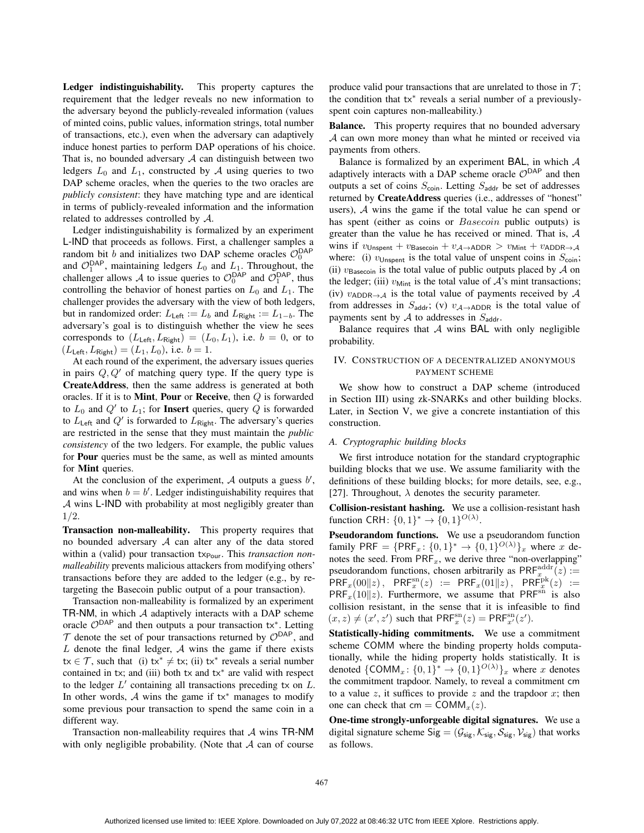Ledger indistinguishability. This property captures the requirement that the ledger reveals no new information to the adversary beyond the publicly-revealed information (values of minted coins, public values, information strings, total number of transactions, etc.), even when the adversary can adaptively induce honest parties to perform DAP operations of his choice. That is, no bounded adversary  $A$  can distinguish between two ledgers  $L_0$  and  $L_1$ , constructed by A using queries to two DAP scheme oracles, when the queries to the two oracles are *publicly consistent*: they have matching type and are identical in terms of publicly-revealed information and the information related to addresses controlled by A.

Ledger indistinguishability is formalized by an experiment L-IND that proceeds as follows. First, a challenger samples a random bit b and initializes two DAP scheme oracles  $\mathcal{O}_0^{\textsf{DAP}}$ and  $\mathcal{O}_1^{\text{DAP}}$ , maintaining ledgers  $L_0$  and  $L_1$ . Throughout, the challenger allows A to issue queries to  $\mathcal{O}_0^{\mathsf{DAP}}$  and  $\mathcal{O}_1^{\mathsf{DAP}}$ , thus controlling the behavior of honest parties on  $L_0$  and  $L_1$ . The challenger provides the adversary with the view of both ledgers, but in randomized order:  $L_{\text{Left}} := L_b$  and  $L_{\text{Right}} := L_{1-b}$ . The adversary's goal is to distinguish whether the view he sees corresponds to  $(L_{\text{Left}}, L_{\text{Right}}) = (L_0, L_1)$ , i.e.  $b = 0$ , or to  $(L_{\text{Left}}, L_{\text{Right}}) = (L_1, L_0)$ , i.e.  $b = 1$ .

At each round of the experiment, the adversary issues queries in pairs  $Q, Q'$  of matching query type. If the query type is CreateAddress, then the same address is generated at both oracles. If it is to **Mint**, **Pour** or **Receive**, then  $Q$  is forwarded to  $L_0$  and  $Q'$  to  $L_1$ ; for **Insert** queries, query Q is forwarded to  $L_{\text{Left}}$  and  $Q'$  is forwarded to  $L_{\text{Right}}$ . The adversary's queries are restricted in the sense that they must maintain the *public consistency* of the two ledgers. For example, the public values for Pour queries must be the same, as well as minted amounts for Mint queries.

At the conclusion of the experiment,  $A$  outputs a guess  $b'$ , and wins when  $b = b'$ . Ledger indistinguishability requires that A wins L-IND with probability at most negligibly greater than 1/2.

Transaction non-malleability. This property requires that no bounded adversary A can alter any of the data stored within a (valid) pour transaction tx<sub>Pour</sub>. This *transaction nonmalleability* prevents malicious attackers from modifying others' transactions before they are added to the ledger (e.g., by retargeting the Basecoin public output of a pour transaction).

Transaction non-malleability is formalized by an experiment TR-NM, in which  $A$  adaptively interacts with a DAP scheme oracle  $\mathcal{O}^{DAP}$  and then outputs a pour transaction tx<sup>\*</sup>. Letting  $T$  denote the set of pour transactions returned by  $\mathcal{O}^{DAP}$ , and L denote the final ledger,  $\mathcal A$  wins the game if there exists  $tx \in \mathcal{T}$ , such that (i)  $tx^* \neq tx$ ; (ii)  $tx^*$  reveals a serial number contained in tx; and (iii) both tx and tx<sup>\*</sup> are valid with respect to the ledger  $L'$  containing all transactions preceding tx on  $L$ . In other words,  $\mathcal A$  wins the game if tx<sup>\*</sup> manages to modify some previous pour transaction to spend the same coin in a different way.

Transaction non-malleability requires that A wins TR-NM with only negligible probability. (Note that  $A$  can of course produce valid pour transactions that are unrelated to those in  $\mathcal{T}$ ; the condition that tx<sup>∗</sup> reveals a serial number of a previouslyspent coin captures non-malleability.)

Balance. This property requires that no bounded adversary A can own more money than what he minted or received via payments from others.

Balance is formalized by an experiment BAL, in which  $A$ adaptively interacts with a DAP scheme oracle  $\mathcal{O}^{DAP}$  and then outputs a set of coins  $S_{\text{coin}}$ . Letting  $S_{\text{addr}}$  be set of addresses returned by CreateAddress queries (i.e., addresses of "honest" users), A wins the game if the total value he can spend or has spent (either as coins or *Basecoin* public outputs) is greater than the value he has received or mined. That is, A wins if  $v_{\text{Unspent}} + v_{\text{Basecoin}} + v_{\text{A}\rightarrow\text{ADDR}} > v_{\text{Mint}} + v_{\text{ADDR}\rightarrow\text{A}}$ where: (i)  $v_{\text{Unspent}}$  is the total value of unspent coins in  $S_{\text{coin}}$ ; (ii)  $v_{\text{Basecoin}}$  is the total value of public outputs placed by  $\mathcal A$  on the ledger; (iii)  $v_{\text{Mint}}$  is the total value of  $\mathcal{A}$ 's mint transactions; (iv)  $v_{ADDR\rightarrow A}$  is the total value of payments received by A from addresses in  $S_{\text{addr}}$ ; (v)  $v_{\text{A}\rightarrow\text{ADDR}}$  is the total value of payments sent by  $A$  to addresses in  $S_{\text{addr}}$ .

Balance requires that  $A$  wins BAL with only negligible probability.

#### IV. CONSTRUCTION OF A DECENTRALIZED ANONYMOUS PAYMENT SCHEME

We show how to construct a DAP scheme (introduced in Section III) using zk-SNARKs and other building blocks. Later, in Section V, we give a concrete instantiation of this construction.

#### *A. Cryptographic building blocks*

We first introduce notation for the standard cryptographic building blocks that we use. We assume familiarity with the definitions of these building blocks; for more details, see, e.g., [27]. Throughout,  $\lambda$  denotes the security parameter.

Collision-resistant hashing. We use a collision-resistant hash function CRH:  $\{0,1\}^* \rightarrow \{0,1\}^{O(\lambda)}$ .

Pseudorandom functions. We use a pseudorandom function family PRF = {PRF<sub>x</sub>: {0, 1}<sup>\*</sup>  $\rightarrow$  {0, 1}<sup>*O*( $\lambda$ )</sup>}<sub>x</sub> where x denotes the seed. From  $\mathsf{PRF}_x$ , we derive three "non-overlapping" pseudorandom functions, chosen arbitrarily as  $\text{PRF}_{x}^{\text{addr}}(z) :=$  $\widehat{\mathsf{PRF}}_x(00\|z) \, , \;\; \mathsf{PRF}^{\mathrm{sn}}_x(z) \; := \; \mathsf{PRF}_x(01\|z) \, , \;\; \mathsf{PRF}^{\mathrm{pk}}_x(z) \; :=$  $PRF_x(10||z)$ . Furthermore, we assume that PRF<sup>sn</sup> is also collision resistant, in the sense that it is infeasible to find  $(x, z) \neq (x', z')$  such that  $\mathsf{PRF}_x^{\mathrm{sn}}(z) = \mathsf{PRF}_{x'}^{\mathrm{sn}}(z').$ 

Statistically-hiding commitments. We use a commitment scheme COMM where the binding property holds computationally, while the hiding property holds statistically. It is denoted  $\{\text{COMM}_x: \{0,1\}^* \to \{0,1\}^{O(\lambda)}\}_x$  where x denotes the commitment trapdoor. Namely, to reveal a commitment cm to a value  $z$ , it suffices to provide  $z$  and the trapdoor  $x$ ; then one can check that cm =  $COMM<sub>x</sub>(z)$ .

One-time strongly-unforgeable digital signatures. We use a digital signature scheme Sig =  $(\mathcal{G}_{\text{sig}}, \mathcal{K}_{\text{sig}}, \mathcal{S}_{\text{sig}}, \mathcal{V}_{\text{sig}})$  that works as follows.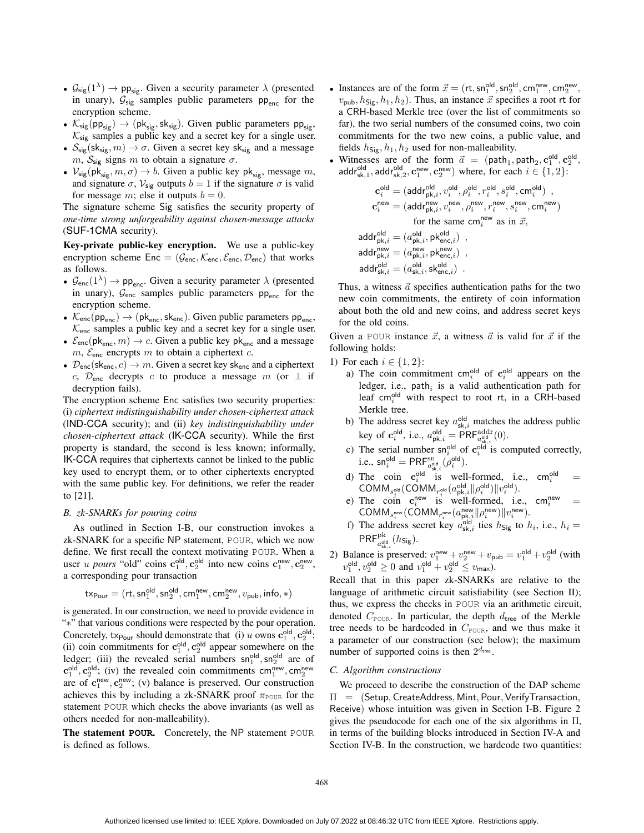- $\mathcal{G}_{sig}(1^{\lambda}) \rightarrow pp_{sig}$ . Given a security parameter  $\lambda$  (presented in unary),  $\mathcal{G}_{sig}$  samples public parameters  $pp_{enc}$  for the encryption scheme.
- $\mathcal{K}_{sig}(pp_{sig}) \rightarrow (pk_{sig}, sk_{sig})$ . Given public parameters  $pp_{sig}$ ,  $\mathcal{K}_{sig}$  samples a public key and a secret key for a single user.
- $S_{sig}(sk_{sig}, m) \rightarrow \sigma$ . Given a secret key sk<sub>sig</sub> and a message m,  $S_{\text{sig}}$  signs m to obtain a signature  $\sigma$ .
- $V_{\text{sig}}(\text{pk}_{\text{sig}}, m, \sigma) \rightarrow b$ . Given a public key p $\text{k}_{\text{sig}}$ , message m, and signature  $\sigma$ ,  $V_{\text{sig}}$  outputs  $b = 1$  if the signature  $\sigma$  is valid for message m; else it outputs  $b = 0$ .

The signature scheme Sig satisfies the security property of *one-time strong unforgeability against chosen-message attacks* (SUF-1CMA security).

Key-private public-key encryption. We use a public-key encryption scheme Enc = ( $\mathcal{G}_{\text{enc}}, \mathcal{K}_{\text{enc}}, \mathcal{E}_{\text{enc}}, \mathcal{D}_{\text{enc}}$ ) that works as follows.

- $\mathcal{G}_{\text{enc}}(1^{\lambda}) \to pp_{\text{enc}}$ . Given a security parameter  $\lambda$  (presented in unary),  $\mathcal{G}_{\text{enc}}$  samples public parameters pp<sub>enc</sub> for the encryption scheme.
- $\mathcal{K}_{\text{enc}}(pp_{\text{enc}}) \rightarrow (pk_{\text{enc}}, sk_{\text{enc}})$ . Given public parameters  $pp_{\text{enc}}$ ,  $K_{\text{enc}}$  samples a public key and a secret key for a single user.
- $\mathcal{E}_{\text{enc}}(\mathsf{pk}_{\text{enc}}, m) \to c$ . Given a public key pk<sub>enc</sub> and a message  $m$ ,  $\mathcal{E}_{\text{enc}}$  encrypts  $m$  to obtain a ciphertext  $c$ .
- $\mathcal{D}_{\text{enc}}(\mathsf{sk}_{\text{enc}}, c) \to m$ . Given a secret key sk<sub>enc</sub> and a ciphertext c,  $\mathcal{D}_{\text{enc}}$  decrypts c to produce a message m (or  $\perp$  if decryption fails).

The encryption scheme Enc satisfies two security properties: (i) *ciphertext indistinguishability under chosen-ciphertext attack* (IND-CCA security); and (ii) *key indistinguishability under chosen-ciphertext attack* (IK-CCA security). While the first property is standard, the second is less known; informally, IK-CCA requires that ciphertexts cannot be linked to the public key used to encrypt them, or to other ciphertexts encrypted with the same public key. For definitions, we refer the reader to [21].

## *B. zk-SNARKs for pouring coins*

As outlined in Section I-B, our construction invokes a zk-SNARK for a specific NP statement, POUR, which we now define. We first recall the context motivating POUR. When a user *u pours* "old" coins  $c_1^{\text{old}}, c_2^{\text{old}}$  into new coins  $c_1^{\text{new}}, c_2^{\text{new}},$ a corresponding pour transaction

$$
\mathsf{tx}_{\mathsf{Pour}} = (\mathsf{rt},\mathsf{sn}_1^\mathsf{old},\mathsf{sn}_2^\mathsf{old},\mathsf{cm}_1^\mathsf{new},\mathsf{cm}_2^\mathsf{new},v_\mathsf{pub},\mathsf{info},\ast)
$$

is generated. In our construction, we need to provide evidence in "∗" that various conditions were respected by the pour operation. Concretely, tx<sub>Pour</sub> should demonstrate that (i) u owns  $\mathbf{c}_1^{\text{old}}, \mathbf{c}_2^{\text{old}}$ ; (ii) coin commitments for  $c_1^{\text{old}}, c_2^{\text{old}}$  appear somewhere on the ledger; (iii) the revealed serial numbers  $\text{sn}_1^{\text{old}}, \text{sn}_2^{\text{old}}$  are of  $\mathbf{c}_1^{\text{old}}, \mathbf{c}_2^{\text{old}}$ ; (iv) the revealed coin commitments cm<sup>new</sup>, cm<sub>2</sub><sup>new</sup> are of  $c_1^{\text{new}}, c_2^{\text{new}}$ ; (v) balance is preserved. Our construction achieves this by including a zk-SNARK proof  $\pi_{\text{POUR}}$  for the statement POUR which checks the above invariants (as well as others needed for non-malleability).

The statement **POUR**. Concretely, the NP statement POUR is defined as follows.

- Instances are of the form  $\vec{x} = (rt, sn_1^{\text{old}}, sn_2^{\text{old}}, cm_1^{\text{new}}, cm_2^{\text{new}},$  $v_{\text{pub}}, h_{\text{Sig}}, h_1, h_2$ ). Thus, an instance  $\vec{x}$  specifies a root rt for a CRH-based Merkle tree (over the list of commitments so far), the two serial numbers of the consumed coins, two coin commitments for the two new coins, a public value, and fields  $h_{\text{Sig}}$ ,  $h_1$ ,  $h_2$  used for non-malleability.
- Witnesses are of the form  $\vec{a} = (\text{path}_1, \text{path}_2, \text{c}_1^{\text{old}}, \text{c}_2^{\text{old}},$  $\mathsf{addr}_{\mathsf{sk},1}^\mathsf{old}, \mathsf{addr}_{\mathsf{sk},2}^\mathsf{old}, \mathbf{c}_1^\mathsf{new}, \mathbf{c}_2^\mathsf{new}$  where, for each  $i \in \{1,2\}$ :

$$
\begin{aligned} \mathbf{c}^{\text{old}}_i &= (\text{addr}^{\text{old}}_{\text{pk},i}, v^{\text{old}}_i, \rho^{\text{old}}_i, \tau^{\text{old}}_i, s^{\text{old}}_i, \text{cm}^{\text{old}}_i) \ , \\ \mathbf{c}^{\text{new}}_i &= (\text{addr}^{\text{new}}_{\text{pk},i}, v^{\text{new}}, \rho^{\text{new}}, r^{\text{new}}, s^{\text{new}}, s^{\text{new}}_i, \text{cm}^{\text{new}}_i) \\ & \text{for the same cm}^{\text{new}}_i \text{ as in } \vec{x}, \\ \text{addr}^{\text{old}}_{\text{pk},i} &= (a^{\text{old}}_{\text{pk},i}, \text{pk}^{\text{old}}_{\text{enc},i}) \ , \\ \text{addr}^{\text{new}}_{\text{pk},i} &= (a^{\text{new}}_{\text{pk},i}, \text{pk}^{\text{new}}_{\text{enc},i}) \ , \\ \text{addr}^{\text{old}}_{\text{sk},i} &= (a^{\text{old}}_{\text{sk},i}, \text{sk}^{\text{len}}_{\text{enc},i}) \ . \end{aligned}
$$

Thus, a witness  $\vec{a}$  specifies authentication paths for the two new coin commitments, the entirety of coin information about both the old and new coins, and address secret keys for the old coins.

Given a POUR instance  $\vec{x}$ , a witness  $\vec{a}$  is valid for  $\vec{x}$  if the following holds:

- 1) For each  $i \in \{1, 2\}$ :
	- a) The coin commitment cm<sup>old</sup> of  $c_i^{\text{old}}$  appears on the ledger, i.e.,  $path_i$  is a valid authentication path for leaf cm<sup>old</sup> with respect to root rt, in a CRH-based Merkle tree.
	- b) The address secret key  $a_{sk,i}^{old}$  matches the address public key of  $\mathbf{c}_i^{\text{old}}$ , i.e.,  $a_{\text{pk},i}^{\text{old}} = \text{PRF}_{a_{\text{sk},i}^{\text{old}}}^{\text{addr}}(0)$ .
	- c) The serial number  $\text{sn}_{i}^{\text{old}}$  of  $\text{c}_{i}^{\text{old}}$  is computed correctly, i.e.,  $\mathsf{sn}_i^{\mathsf{old}} = \mathsf{PRF}_{a_{\mathsf{old}}^{\mathsf{old}}}^{\mathsf{sn}}(\rho_i^{\mathsf{old}}).$
	- d) The coin  $c_i^{\text{old}}$  is well-formed, i.e., cm<sup>old</sup> = The coin  $\mathbf{c}_i$  is wen-formed, i.e.<br>COMM<sub>s</sub><sub>old</sub> (COMM<sub>r</sub><sub>old</sub>  $(a_{\text{pk},i}^{\text{old}} || \rho_i^{\text{old}}) || v_i^{\text{old}})$ ).
	- e) The coin  $\mathbf{c}_i^{\text{new}}$  is well-formed, i.e., cm<sup>new</sup>  $i^{\text{new}}$  =  $\mathsf{COMM}_{s_i^{\mathsf{new}}}(\mathsf{COMM}_{r_i^{\mathsf{new}}}({a}_{\mathsf{pk},i}^{\mathsf{new}}\|\rho_i^{\mathsf{new}})\|v_i^{\mathsf{new}}).$
	- f) The address secret key  $a_{sk,i}^{old}$  ties  $h_{sig}$  to  $h_i$ , i.e.,  $h_i =$  $\mathsf{PRF}^{\mathrm{pk}}_{a_{\mathsf{sk}^i}^{\mathrm{old}}}(h_{\mathsf{Sig}}).$
- 2) Balance is preserved:  $v_1^{\text{new}} + v_2^{\text{new}} + v_{\text{pub}} = v_1^{\text{old}} + v_2^{\text{old}}$  (with  $v_1^{\text{old}}, v_2^{\text{old}} \ge 0$  and  $v_1^{\text{old}} + v_2^{\text{old}} \le v_{\text{max}}$ ).

Recall that in this paper zk-SNARKs are relative to the language of arithmetic circuit satisfiability (see Section II); thus, we express the checks in POUR via an arithmetic circuit, denoted  $C_{\text{POUR}}$ . In particular, the depth  $d_{\text{tree}}$  of the Merkle tree needs to be hardcoded in  $C_{\text{POUR}}$ , and we thus make it a parameter of our construction (see below); the maximum number of supported coins is then  $2^{d_{\text{tree}}}.$ 

#### *C. Algorithm constructions*

We proceed to describe the construction of the DAP scheme  $\Pi$  = (Setup, CreateAddress, Mint, Pour, Verify Transaction, Receive) whose intuition was given in Section I-B. Figure 2 gives the pseudocode for each one of the six algorithms in  $\Pi$ , in terms of the building blocks introduced in Section IV-A and Section IV-B. In the construction, we hardcode two quantities: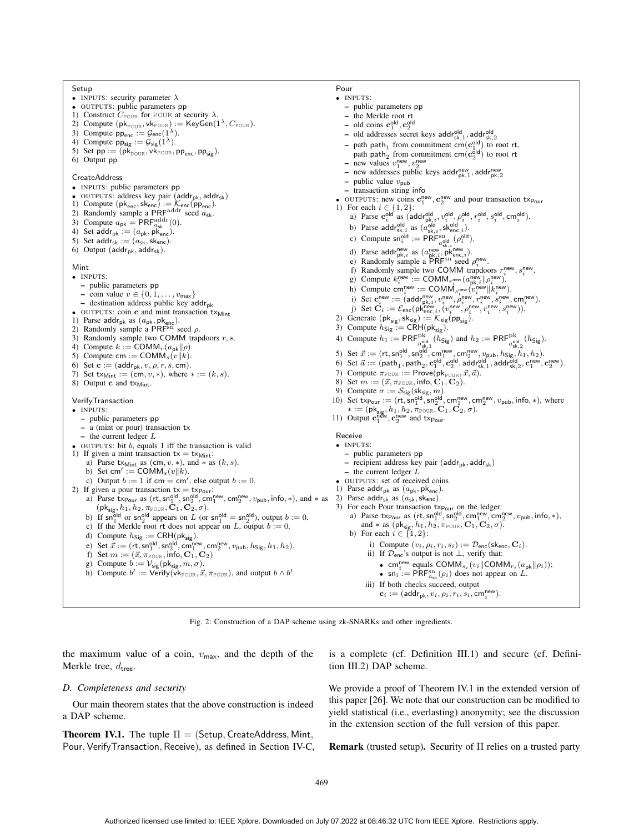Setup • INPUTS: security parameter  $\lambda$ • OUTPUTS: public parameters pp<br>
1) Construct  $C_{\text{POUR}}$  for POUR at security  $\lambda$ . 2) Compute  $(\mathsf{pk}_{\mathtt{POUR}}, \mathsf{vk}_{\mathtt{POUR}}) := \mathsf{KeyGen}(1^\lambda, C_{\mathtt{POUR}}).$ 3) Compute  $pp_{\text{enc}} := \mathcal{G}_{\text{enc}}(1^{\lambda}).$ 4) Compute  $pp_{sig} := \mathcal{G}_{sig}(1^{\lambda})$ . 5) Set  $pp := (p\breve{k}_{\text{POUR}}, v\breve{k}_{\text{POUR}}, pp_{\text{enc}}, pp_{\text{sig}})$ . 6) Output pp. CreateAddress • INPUTS: public parameters pp OUTPUTS: address key pair  $(\textsf{addr}_\textsf{pk}, \textsf{addr}_\textsf{sk})$ 1) Compute  $(\mathsf{pk}_{\mathsf{enc}}, \mathsf{sk}_{\mathsf{enc}}) := \mathcal{K}_{\mathsf{enc}}(\mathsf{pp}_{\mathsf{enc}})$ .<br>2) Randomly sample a PRF<sup>addr</sup> seed  $a_{\mathsf{sk}}$ . 3) Compute  $a_{\rm pk} = \text{PRF}_{a_{\rm sk}}^{\text{addr}}(0)$ .<br>4) Set addr<sub>pk</sub> :=  $(a_{\rm pk}, \text{pk}_{\text{enc}})$ . 5) Set  $\text{addr}_{\text{sk}} := (a_{\text{sk}}, \text{skenc})$ . 6) Output ( $\text{addr}_{pk}$ ,  $\text{addr}_{sk}$ ). Mint • INPUTS: – public parameters pp – coin value  $v \in \{0, 1, \ldots, v_{\text{max}}\}\$  $-$  destination address public key addr<sub>pk</sub> OUTPUTS: coin c and mint transaction txMint 1) Parse addr<sub>pk</sub> as  $(a_{pk}, pk_{enc})$ .<br>2) Randomly sample a PRF<sup>sn</sup> seed  $\rho$ . 3) Randomly sample two COMM trapdoors  $r, s$ . 4) Compute  $k := \text{COMM}_r(a_{\text{pk}}||\rho)$ . 5) Compute cm := COMM<sub>s</sub> $(v||k)$ . 6) Set  $\mathbf{c} := (\text{addr}_{\text{pk}}, v, \rho, r, s, \text{cm}).$ 7) Set  $tx_{Mint} := (cm, v, *)$ , where  $* := (k, s)$ . 8) Output c and txMint. VerifyTransaction • INPUTS: – public parameters pp – a (mint or pour) transaction tx  $-$  the current ledger  $L$ OUTPUTS: bit  $b$ , equals 1 iff the transaction is valid 1) If given a mint transaction  $tx = tx_{\text{Mint}}$ : a) Parse tx<sub>Mint</sub> as  $(\text{cm}, v, *)$ , and  $*$  as  $(k, s)$ . b) Set cm' := COMM<sub>s</sub> $(v||k)$ . c) Output  $b := 1$  if cm = cm', else output  $b := 0$ . 2) If given a pour transaction  $tx = tx_{\text{Pour}}$ :<br>
a) Parse  $tx_{\text{Pour}}$  as  $(rt, \text{sn}_1^{\text{old}}, \text{sn}_2^{\text{old}}, \text{cm}_1^{\text{new}}, \text{cm}_2^{\text{new}}, v_{\text{pub}}, \text{info}, *)$ , and  $*$  as  $(\mathsf{pk}_{\mathsf{sig}}, h_1, h_2, \pi_{\mathsf{POUR}}, \bar{\mathbf{C}}_1, \bar{\mathbf{C}}_2, \sigma).$ b) If  $\mathsf{sn}_1^{\text{old}}$  or  $\mathsf{sn}_2^{\text{old}}$  appears on L (or  $\mathsf{sn}_1^{\text{old}} = \mathsf{sn}_2^{\text{old}}$ ), output  $b := 0$ . c) If the Merkle root rt does not appear on L, output  $b := 0$ . d) Compute  $h_{\text{Sig}} := \text{CRH}(\text{pk}_{\text{sig}})$ . e) Set  $\vec{x} := (rt, sn_1^{\text{old}}, sn_2^{\text{old}}, cm_1^{\text{new}}, cm_2^{\text{new}}, v_{\text{pub}}, h_{\text{Sig}}, h_1, h_2).$ f) Set  $m := (\vec{x}, \pi_{\text{POUR}}, \text{info}, \mathbf{C}_1, \mathbf{C}_2)$ g) Compute  $b := \mathcal{V}_{\text{sig}}(\text{pk}_{\text{sig}}, m, \sigma)$ . h) Compute  $b' := \text{Verify}(\vec{v}_{k_{\text{POUR}}}, \vec{x}, \pi_{\text{POUR}})$ , and output  $b \wedge b'$ . Pour • INPUTS: – public parameters pp – the Merkle root rt - old coins  $\mathbf{c}_1^{\text{old}}, \mathbf{c}_2^{\text{old}}$ - old addresses secret keys addr<sup>old</sup> sk, 1, addr<sup>old</sup> sk, 2 - path path<sub>1</sub> from commitment cm( $\mathbf{c}_1^{\text{old}}$ ) to root rt, path path<sub>2</sub> from commitment cm( $c_2^{\overline{old}}$ ) to root rt – new values  $v_1^{\text{new}}, v_2^{\text{new}}$ – new addresses public keys addr<sup>new</sup>, addr<sup>new</sup> – public value  $v_{\text{pub}}$ – transaction string info • OUTPUTS: new coins  $\mathbf{c}_1^{\text{new}}, \mathbf{c}_2^{\text{new}}$  and pour transaction  $\text{tx}_{\text{Pour}}$ 1) For each  $i \in \{1, 2\}$ : a) Parse  $\mathbf{c}_i^{\text{old}}$  as (addrold,  $v_i^{\text{old}}, v_i^{\text{old}}, p_i^{\text{old}}, r_i^{\text{old}}, s_i^{\text{old}}, \text{cm}_i^{\text{old}})$ . b) Parse addr<sup>old</sup> as  $(a_{\text{sk},i}^{\text{old}}, \text{sk}_{\text{enc},i}^{\text{old}})$ . c) Compute  $\mathsf{sn}_i^{\text{old}} := \mathsf{PRF}_{a_{\mathsf{sk},i}^{\text{old}}}^{\text{old}}(\rho_i^{\text{old}})$ . d) Parse addr<sup>new</sup> as  $(a_{\text{pk},i}^{\text{new}}, \overrightarrow{pk}_{\text{enc},i}^{\text{new}})$ .<br>
e) Randomly sample a PRF<sup>sn</sup> seed  $\rho_i^{\text{new}}$ . new f) Randomly sample two COMM trapdoors  $r_i^{\text{new}}, s_i^{\text{new}}$ . if Randomly sample two COMM trapewolds  $r_i^i$ ,  $s_i$ <br>g) Compute  $k_i^{\text{new}} := \text{COMM}_{r_i^{\text{new}}} (a_{\text{pk},i}^{\text{new}} || \rho_i^{\text{new}})$ . h) Compute  $\mathsf{cm}_i^{\mathsf{new}} := \mathsf{COMM}_{s_i^{\mathsf{new}}}(\widetilde{v}_i^{\mathsf{new}} || k_i^{\mathsf{new}}).$ i) Set  $\mathbf{c}^{\text{new}}_i := (\text{addr}^{\text{new}}_{\text{pk},i}, v^{\text{new}}_i, \overset{\text{new}}{\rho_i}$  is w,  $\overset{\text{new}}{\tau_i}$  is w,  $\text{cm}^{\text{new}}_i$ ).<br>j) Set  $\mathbf{C}_i := \mathcal{E}_{\text{enc}}(\text{pk}^{\text{new}}_{\text{enc},i}, (v^{\text{new}}_i, \overset{\text{new}}{\rho_i}$  is ", ",",",  $s^{\text{new}}_i, s^{\text{new}}_i)$ ). 2) Generate  $(\mathsf{pk}_{\mathsf{sig}}, \mathsf{sk}_{\mathsf{sig}}) := \mathcal{K}_{\mathsf{sig}}(\mathsf{pp}_{\mathsf{sig}})$ . 3) Compute  $h_{\text{Sig}} := \text{CRH}(\text{pk}_{\text{sig}})$ . 4) Compute  $h_1 := \text{PRF}_{a_{\text{el}}^{\text{old}}}^{\text{old}}(h_{\text{Sig}})$  and  $h_2 := \text{PRF}_{a_{\text{el}}^{\text{old}}}^{\text{old}}(h_{\text{Sig}})$ . 5) Set  $\vec{x} := (rt, sn_1^{\text{old}}, sn_2^{\text{old}}, cm_1^{\text{new}}, cm_2^{\text{new}}, v_{\text{pub}}, h_{\text{Sig}}, h_1, h_2)$ . 6) Set  $\vec{a} := (\textsf{path}_1, \textsf{path}_2, \textbf{c}_1^{\textsf{old}}, \textbf{c}_2^{\textsf{old}}, \textsf{a\bar{ddr}}_{\textsf{sk},1}^{\textsf{old}}, \textsf{addr}_{\textsf{sk},2}^{\textsf{old}}, \textbf{c}_1^{\textsf{new}}, \textbf{c}_2^{\textsf{new}}).$ 7) Compute  $\pi_{\text{POUR}} := \text{Prove}(\text{pk}_{\text{POUR}}, \vec{x}, \vec{a})$ .<br>8) Set  $m := (\vec{x}, \pi_{\text{POUR}}, \text{info}, \mathbf{C}_1, \mathbf{C}_2)$ . 9) Compute  $\sigma := \mathcal{S}_{\text{sig}}(\text{sk}_{\text{sig}}, m)$ . 10) Set  $tx_{\text{Pour}} := (rt, \text{sn}_1^{\text{old}}, \text{sn}_2^{\text{old}}, \text{cm}_1^{\text{new}}, \text{cm}_2^{\text{new}}, v_{\text{pub}}, \text{info}, *)$ , where ∗ := (pk<sub>sig</sub>, h<sub>1</sub>, h<sub>2</sub>, π<sub>POUR</sub>, **C**<sub>1</sub>, **C**<sub>2</sub>, σ).<br>
11) Output **c**<sup>new</sup>, **c**<sup>new</sup> and **t**x<sub>Pour</sub>. Receive • INPUTS: – public parameters pp - recipient address key pair  $(\text{addr}_{pk}, \text{addr}_{sk})$ – the current ledger  $\overline{L}$ • OUTPUTS: set of received coins 1) Parse addr<sub>pk</sub> as  $(a_{pk}, pk_{enc})$ .<br>2) Parse addr<sub>sk</sub> as  $(a_{sk}, sk_{enc})$ . 3) For each Pour transaction  $tx_{\text{Pour}}$  on the ledger:<br>
a) Parse  $tx_{\text{Pour}}$  as  $(rt, sn_1^{\text{old}}, sn_2^{\text{old}}, cm_1^{\text{new}}, cm_2^{\text{new}}, v_{\text{pub}}, info, *),$ and  $*$  as  $(\mathsf{pk}_{\mathsf{sig}}, h_1, h_2, \pi_{\text{POUR}}, \mathbf{C}_1, \mathbf{C}_2, \sigma)$ .<br>b) For each  $i \in \{1, 2\}$ : i) Compute  $(v_i,\rho_i,r_i,s_i):=\mathcal{D}_{\mathsf{enc}}(\mathsf{sk}_{\mathsf{enc}},\mathbf{C}_i).$ ii) If Denc's output is not ⊥, verify that: • cm<sup>new</sup> equals COMM<sub>si</sub> ( $v_i$ ||COMM<sub>ri</sub> ( $a_{\text{pk}}$ || $\rho_i$ )); •  $\sin i := \widehat{PRF}_{a_{sk}}^{\text{sn}}(\rho_i)$  does not appear on L. iii) If both checks succeed, output  $\mathbf{c}_i := (\mathsf{addr_{pk}}, v_i, \rho_i, r_i, \hat{s_i}, \mathsf{cm}_i^{\mathsf{new}}).$ 

Fig. 2: Construction of a DAP scheme using zk-SNARKs and other ingredients.

the maximum value of a coin,  $v_{\text{max}}$ , and the depth of the Merkle tree,  $d_{\text{tree}}$ .

#### *D. Completeness and security*

Our main theorem states that the above construction is indeed a DAP scheme.

**Theorem IV.1.** The tuple  $\Pi =$  (Setup, CreateAddress, Mint, Pour, VerifyTransaction, Receive), as defined in Section IV-C, is a complete (cf. Definition III.1) and secure (cf. Definition III.2) DAP scheme.

We provide a proof of Theorem IV.1 in the extended version of this paper [26]. We note that our construction can be modified to yield statistical (i.e., everlasting) anonymity; see the discussion in the extension section of the full version of this paper.

**Remark** (trusted setup). Security of  $\Pi$  relies on a trusted party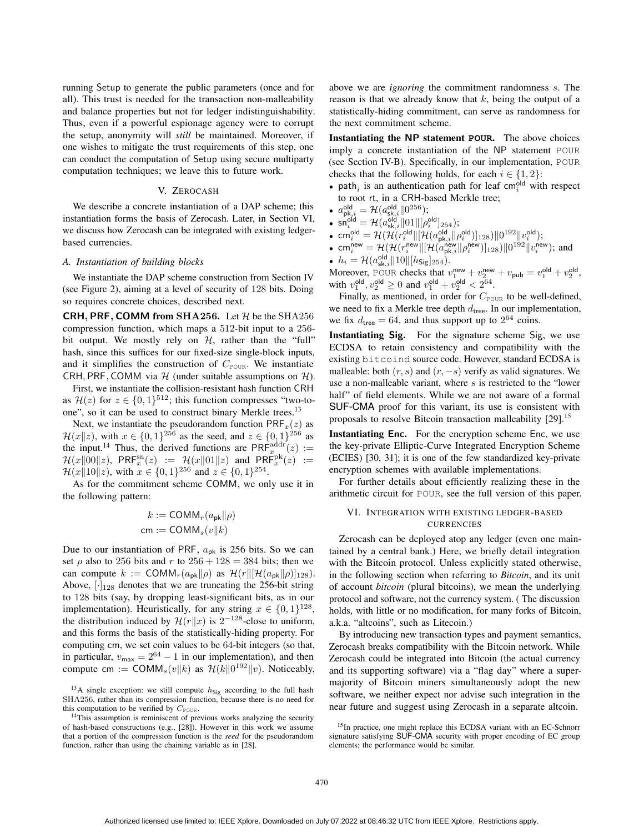running Setup to generate the public parameters (once and for all). This trust is needed for the transaction non-malleability and balance properties but not for ledger indistinguishability. Thus, even if a powerful espionage agency were to corrupt the setup, anonymity will *still* be maintained. Moreover, if one wishes to mitigate the trust requirements of this step, one can conduct the computation of Setup using secure multiparty computation techniques; we leave this to future work.

### V. ZEROCASH

We describe a concrete instantiation of a DAP scheme; this instantiation forms the basis of Zerocash. Later, in Section VI, we discuss how Zerocash can be integrated with existing ledgerbased currencies.

#### *A. Instantiation of building blocks*

We instantiate the DAP scheme construction from Section IV (see Figure 2), aiming at a level of security of 128 bits. Doing so requires concrete choices, described next.

**CRH, PRF, COMM from SHA256.** Let  $H$  be the SHA256 compression function, which maps a 512-bit input to a 256 bit output. We mostly rely on  $H$ , rather than the "full" hash, since this suffices for our fixed-size single-block inputs, and it simplifies the construction of  $C_{\text{POUR}}$ . We instantiate CRH, PRF, COMM via  $H$  (under suitable assumptions on  $H$ ).

First, we instantiate the collision-resistant hash function CRH as  $\mathcal{H}(z)$  for  $z \in \{0,1\}^{512}$ ; this function compresses "two-toone", so it can be used to construct binary Merkle trees.<sup>13</sup>

Next, we instantiate the pseudorandom function  $\text{PRF}_x(z)$  as  $\mathcal{H}(x||z)$ , with  $x \in \{0,1\}^{256}$  as the seed, and  $z \in \{0,1\}^{256}$  as the input.<sup>14</sup> Thus, the derived functions are  $\text{PRF}_{x}^{\text{addr}}(z) :=$  $\mathcal{H}(x\|\overline{0}0\|z)$ , PRF $_x^{\text{sn}}(z) := \mathcal{H}(x\|01\|z)$  and PRF $_x^{\text{pk}}(z) :=$  $\mathcal{H}(x||10||z)$ , with  $x \in \{0,1\}^{256}$  and  $z \in \{0,1\}^{254}$ .

As for the commitment scheme COMM, we only use it in the following pattern:

$$
k := \text{COMM}_r(a_{\text{pk}}||\rho)
$$
  
cm :=  $\text{COMM}_s(v||k)$ 

Due to our instantiation of PRF,  $a_{pk}$  is 256 bits. So we can set  $\rho$  also to 256 bits and r to 256 + 128 = 384 bits; then we can compute  $k := \text{COMM}_r(a_{\text{pk}}||\rho)$  as  $\mathcal{H}(r||[\mathcal{H}(a_{\text{pk}}||\rho)]_{128})$ . Above,  $[\cdot]_{128}$  denotes that we are truncating the 256-bit string to 128 bits (say, by dropping least-significant bits, as in our implementation). Heuristically, for any string  $x \in \{0, 1\}^{128}$ , the distribution induced by  $\mathcal{H}(r||x)$  is  $2^{-128}$ -close to uniform, and this forms the basis of the statistically-hiding property. For computing cm, we set coin values to be 64-bit integers (so that, in particular,  $v_{\text{max}} = 2^{64} - 1$  in our implementation), and then compute cm := COMM<sub>s</sub> $(v||k)$  as  $\mathcal{H}(k||0^{192}||v)$ . Noticeably,

<sup>13</sup>A single exception: we still compute  $h_{\text{Sig}}$  according to the full hash SHA256, rather than its compression function, because there is no need for this computation to be verified by  $C_{\text{POUR}}$ .

above we are *ignoring* the commitment randomness s. The reason is that we already know that  $k$ , being the output of a statistically-hiding commitment, can serve as randomness for the next commitment scheme.

Instantiating the NP statement **POUR**. The above choices imply a concrete instantiation of the NP statement POUR (see Section IV-B). Specifically, in our implementation, POUR checks that the following holds, for each  $i \in \{1, 2\}$ :

• path<sub>i</sub> is an authentication path for leaf cm<sup>old</sup> with respect to root rt, in a CRH-based Merkle tree;

• 
$$
a_{\text{pk},i}^{\text{old}} = \mathcal{H}(a_{\text{sk},i}^{\text{old}} \| 0^{256});
$$

• 
$$
\mathsf{sn}_i^{\mathsf{old}} = \mathcal{H}(a_{\mathsf{sk},i}^{\mathsf{old}} \| 01 \| [\rho_i^{\mathsf{old}}]_{254});
$$

• cm<sup>old</sup> =  $\mathcal{H}(\mathcal{H}(r^{\mathsf{old}}_{i}\Vert[\mathcal{H}(a^{\mathsf{old}}_{\mathsf{pk},i}\Vert\rho^{\mathsf{old}}_{i})]_{128})\Vert 0^{192}\Vert v^{\mathsf{old}}_{i});$ 

• cm<sub>i</sub><sup>new</sup> = 
$$
\mathcal{H}(\mathcal{H}(r_i^{\text{new}}||[\mathcal{H}(a_{\text{pk},i}^{\text{new}}||\rho_i^{\text{new}})]_{128})||0^{192}||v_i^{\text{new}})
$$
; and

•  $h_i = \mathcal{H}(a_{\rm sk,i}^{\rm old} \| 10 \| [h_{\rm Sig}]_{254}).$ 

Moreover, POUR checks that  $v_1^{\text{new}} + v_2^{\text{new}} + v_{\text{pub}} = v_1^{\text{old}} + v_2^{\text{old}}$ , with  $v_1^{\text{old}}, v_2^{\text{old}} \ge 0$  and  $v_1^{\text{old}} + v_2^{\text{old}} < 2^{64}$ .

Finally, as mentioned, in order for  $C_{\text{POUR}}$  to be well-defined, we need to fix a Merkle tree depth  $d_{\text{tree}}$ . In our implementation, we fix  $d_{\text{tree}} = 64$ , and thus support up to  $2^{64}$  coins.

Instantiating Sig. For the signature scheme Sig, we use ECDSA to retain consistency and compatibility with the existing bitcoind source code. However, standard ECDSA is malleable: both  $(r, s)$  and  $(r, -s)$  verify as valid signatures. We use a non-malleable variant, where  $s$  is restricted to the "lower" half" of field elements. While we are not aware of a formal SUF-CMA proof for this variant, its use is consistent with proposals to resolve Bitcoin transaction malleability [29].<sup>15</sup>

Instantiating Enc. For the encryption scheme Enc, we use the key-private Elliptic-Curve Integrated Encryption Scheme (ECIES) [30, 31]; it is one of the few standardized key-private encryption schemes with available implementations.

For further details about efficiently realizing these in the arithmetic circuit for POUR, see the full version of this paper.

## VI. INTEGRATION WITH EXISTING LEDGER-BASED CURRENCIES

Zerocash can be deployed atop any ledger (even one maintained by a central bank.) Here, we briefly detail integration with the Bitcoin protocol. Unless explicitly stated otherwise, in the following section when referring to *Bitcoin*, and its unit of account *bitcoin* (plural bitcoins), we mean the underlying protocol and software, not the currency system. ( The discussion holds, with little or no modification, for many forks of Bitcoin, a.k.a. "altcoins", such as Litecoin.)

By introducing new transaction types and payment semantics, Zerocash breaks compatibility with the Bitcoin network. While Zerocash could be integrated into Bitcoin (the actual currency and its supporting software) via a "flag day" where a supermajority of Bitcoin miners simultaneously adopt the new software, we neither expect nor advise such integration in the near future and suggest using Zerocash in a separate altcoin.

<sup>&</sup>lt;sup>14</sup>This assumption is reminiscent of previous works analyzing the security of hash-based constructions (e.g., [28]). However in this work we assume that a portion of the compression function is the *seed* for the pseudorandom function, rather than using the chaining variable as in [28].

<sup>&</sup>lt;sup>15</sup>In practice, one might replace this ECDSA variant with an EC-Schnorr signature satisfying SUF-CMA security with proper encoding of EC group elements; the performance would be similar.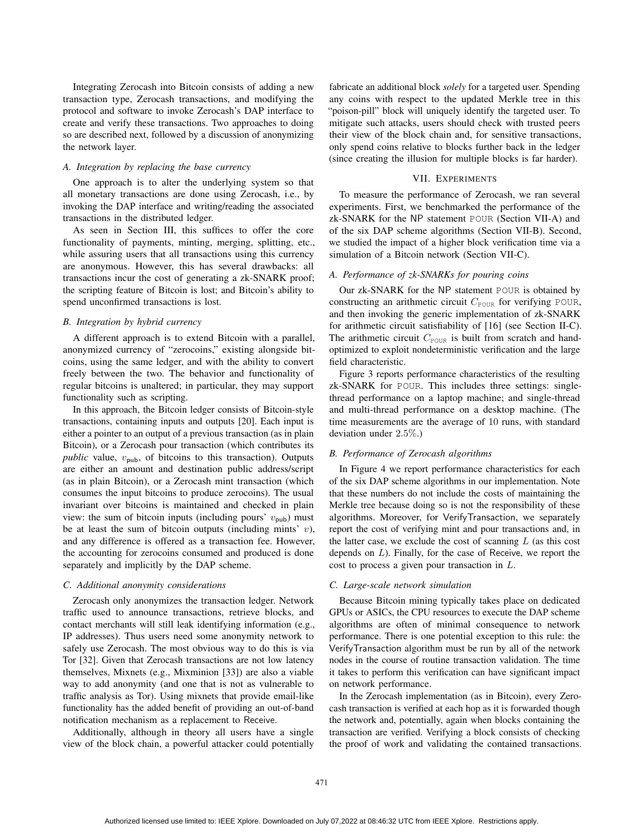Integrating Zerocash into Bitcoin consists of adding a new transaction type, Zerocash transactions, and modifying the protocol and software to invoke Zerocash's DAP interface to create and verify these transactions. Two approaches to doing so are described next, followed by a discussion of anonymizing the network layer.

## *A. Integration by replacing the base currency*

One approach is to alter the underlying system so that all monetary transactions are done using Zerocash, i.e., by invoking the DAP interface and writing/reading the associated transactions in the distributed ledger.

As seen in Section III, this suffices to offer the core functionality of payments, minting, merging, splitting, etc., while assuring users that all transactions using this currency are anonymous. However, this has several drawbacks: all transactions incur the cost of generating a zk-SNARK proof; the scripting feature of Bitcoin is lost; and Bitcoin's ability to spend unconfirmed transactions is lost.

#### *B. Integration by hybrid currency*

A different approach is to extend Bitcoin with a parallel, anonymized currency of "zerocoins," existing alongside bitcoins, using the same ledger, and with the ability to convert freely between the two. The behavior and functionality of regular bitcoins is unaltered; in particular, they may support functionality such as scripting.

In this approach, the Bitcoin ledger consists of Bitcoin-style transactions, containing inputs and outputs [20]. Each input is either a pointer to an output of a previous transaction (as in plain Bitcoin), or a Zerocash pour transaction (which contributes its *public* value,  $v_{\text{pub}}$ , of bitcoins to this transaction). Outputs are either an amount and destination public address/script (as in plain Bitcoin), or a Zerocash mint transaction (which consumes the input bitcoins to produce zerocoins). The usual invariant over bitcoins is maintained and checked in plain view: the sum of bitcoin inputs (including pours'  $v_{\text{pub}}$ ) must be at least the sum of bitcoin outputs (including mints'  $v$ ), and any difference is offered as a transaction fee. However, the accounting for zerocoins consumed and produced is done separately and implicitly by the DAP scheme.

#### *C. Additional anonymity considerations*

Zerocash only anonymizes the transaction ledger. Network traffic used to announce transactions, retrieve blocks, and contact merchants will still leak identifying information (e.g., IP addresses). Thus users need some anonymity network to safely use Zerocash. The most obvious way to do this is via Tor [32]. Given that Zerocash transactions are not low latency themselves, Mixnets (e.g., Mixminion [33]) are also a viable way to add anonymity (and one that is not as vulnerable to traffic analysis as Tor). Using mixnets that provide email-like functionality has the added benefit of providing an out-of-band notification mechanism as a replacement to Receive.

Additionally, although in theory all users have a single view of the block chain, a powerful attacker could potentially

fabricate an additional block *solely* for a targeted user. Spending any coins with respect to the updated Merkle tree in this "poison-pill" block will uniquely identify the targeted user. To mitigate such attacks, users should check with trusted peers their view of the block chain and, for sensitive transactions, only spend coins relative to blocks further back in the ledger (since creating the illusion for multiple blocks is far harder).

### VII. EXPERIMENTS

To measure the performance of Zerocash, we ran several experiments. First, we benchmarked the performance of the zk-SNARK for the NP statement POUR (Section VII-A) and of the six DAP scheme algorithms (Section VII-B). Second, we studied the impact of a higher block verification time via a simulation of a Bitcoin network (Section VII-C).

#### *A. Performance of zk-SNARKs for pouring coins*

Our zk-SNARK for the NP statement POUR is obtained by constructing an arithmetic circuit  $C_{\text{POUR}}$  for verifying POUR, and then invoking the generic implementation of zk-SNARK for arithmetic circuit satisfiability of [16] (see Section II-C). The arithmetic circuit  $C_{\text{POUR}}$  is built from scratch and handoptimized to exploit nondeterministic verification and the large field characteristic.

Figure 3 reports performance characteristics of the resulting zk-SNARK for POUR. This includes three settings: singlethread performance on a laptop machine; and single-thread and multi-thread performance on a desktop machine. (The time measurements are the average of 10 runs, with standard deviation under 2.5%.)

## *B. Performance of Zerocash algorithms*

In Figure 4 we report performance characteristics for each of the six DAP scheme algorithms in our implementation. Note that these numbers do not include the costs of maintaining the Merkle tree because doing so is not the responsibility of these algorithms. Moreover, for VerifyTransaction, we separately report the cost of verifying mint and pour transactions and, in the latter case, we exclude the cost of scanning  $L$  (as this cost depends on L). Finally, for the case of Receive, we report the cost to process a given pour transaction in L.

#### *C. Large-scale network simulation*

Because Bitcoin mining typically takes place on dedicated GPUs or ASICs, the CPU resources to execute the DAP scheme algorithms are often of minimal consequence to network performance. There is one potential exception to this rule: the VerifyTransaction algorithm must be run by all of the network nodes in the course of routine transaction validation. The time it takes to perform this verification can have significant impact on network performance.

In the Zerocash implementation (as in Bitcoin), every Zerocash transaction is verified at each hop as it is forwarded though the network and, potentially, again when blocks containing the transaction are verified. Verifying a block consists of checking the proof of work and validating the contained transactions.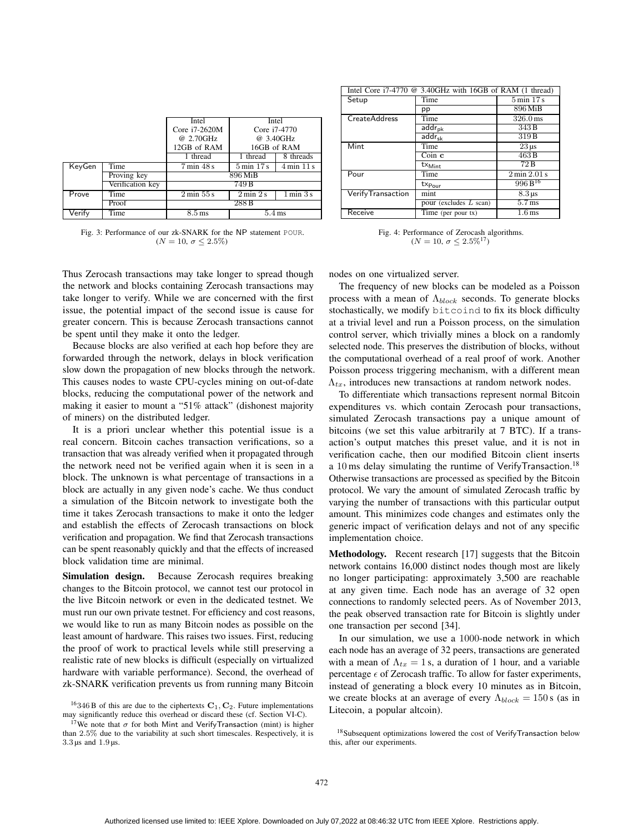|        |                  | Intel                         | Intel                        |             |
|--------|------------------|-------------------------------|------------------------------|-------------|
|        |                  | Core i7-2620M                 | Core i7-4770                 |             |
|        |                  | @ 2.70GHz                     |                              | @ 3.40GHz   |
|        |                  | 12GB of RAM                   |                              | 16GB of RAM |
|        |                  | thread                        | 1 thread                     | 8 threads   |
| KeyGen | Time             | $7 \text{ min } 48 \text{ s}$ | $5 \text{ min}$ 17 s         | 4 min 11 s  |
|        | Proving key      | 896 MiB                       |                              |             |
|        | Verification key | 749 B                         |                              |             |
| Prove  | Time             | 2 min 55 s                    | $2 \text{ min } 2 \text{ s}$ | 1 min 3 s   |
|        | Proof            |                               | 288B                         |             |
| Verify | Time             | $8.5 \,\mathrm{ms}$           | $5.4 \,\mathrm{ms}$          |             |

Fig. 3: Performance of our zk-SNARK for the NP statement POUR. ( $N = 10, \sigma \leq 2.5\%)$ 

Thus Zerocash transactions may take longer to spread though the network and blocks containing Zerocash transactions may take longer to verify. While we are concerned with the first issue, the potential impact of the second issue is cause for greater concern. This is because Zerocash transactions cannot be spent until they make it onto the ledger.

Because blocks are also verified at each hop before they are forwarded through the network, delays in block verification slow down the propagation of new blocks through the network. This causes nodes to waste CPU-cycles mining on out-of-date blocks, reducing the computational power of the network and making it easier to mount a "51% attack" (dishonest majority of miners) on the distributed ledger.

It is a priori unclear whether this potential issue is a real concern. Bitcoin caches transaction verifications, so a transaction that was already verified when it propagated through the network need not be verified again when it is seen in a block. The unknown is what percentage of transactions in a block are actually in any given node's cache. We thus conduct a simulation of the Bitcoin network to investigate both the time it takes Zerocash transactions to make it onto the ledger and establish the effects of Zerocash transactions on block verification and propagation. We find that Zerocash transactions can be spent reasonably quickly and that the effects of increased block validation time are minimal.

Simulation design. Because Zerocash requires breaking changes to the Bitcoin protocol, we cannot test our protocol in the live Bitcoin network or even in the dedicated testnet. We must run our own private testnet. For efficiency and cost reasons, we would like to run as many Bitcoin nodes as possible on the least amount of hardware. This raises two issues. First, reducing the proof of work to practical levels while still preserving a realistic rate of new blocks is difficult (especially on virtualized hardware with variable performance). Second, the overhead of zk-SNARK verification prevents us from running many Bitcoin

| Intel Core i7-4770 @ 3.40GHz with 16GB of RAM (1 thread) |                          |                              |  |  |
|----------------------------------------------------------|--------------------------|------------------------------|--|--|
| Setup                                                    | Time                     | $5 \text{ min} 17 \text{ s}$ |  |  |
|                                                          | pp                       | 896 MiB                      |  |  |
| <b>CreateAddress</b>                                     | Time                     | $326.0 \,\text{ms}$          |  |  |
|                                                          | addr <sub>ok</sub>       | 343B                         |  |  |
|                                                          | $addr_{sk}$              | 319B                         |  |  |
| Mint                                                     | Time                     | $23 \,\mu s$                 |  |  |
|                                                          | $Coin$ $c$               | 463B                         |  |  |
|                                                          | $tx_{\text{Mint}}$       | 72B                          |  |  |
| Pour                                                     | Time                     | 2 min 2.01 s                 |  |  |
|                                                          | $tx_{Pour}$              | $996B^{16}$                  |  |  |
| <b>VerifyTransaction</b>                                 | mint                     | $8.3 \,\mu s$                |  |  |
|                                                          | pour (excludes $L$ scan) | $5.7$ ms                     |  |  |
| Receive                                                  | Time (per pour tx)       | 1.6 <sub>ms</sub>            |  |  |

Fig. 4: Performance of Zerocash algorithms.  $(N = 10, \sigma \leq 2.5\%^{17})$ 

nodes on one virtualized server.

The frequency of new blocks can be modeled as a Poisson process with a mean of  $\Lambda_{block}$  seconds. To generate blocks stochastically, we modify bitcoind to fix its block difficulty at a trivial level and run a Poisson process, on the simulation control server, which trivially mines a block on a randomly selected node. This preserves the distribution of blocks, without the computational overhead of a real proof of work. Another Poisson process triggering mechanism, with a different mean  $\Lambda_{tx}$ , introduces new transactions at random network nodes.

To differentiate which transactions represent normal Bitcoin expenditures vs. which contain Zerocash pour transactions, simulated Zerocash transactions pay a unique amount of bitcoins (we set this value arbitrarily at 7 BTC). If a transaction's output matches this preset value, and it is not in verification cache, then our modified Bitcoin client inserts a 10 ms delay simulating the runtime of VerifyTransaction.<sup>18</sup> Otherwise transactions are processed as specified by the Bitcoin protocol. We vary the amount of simulated Zerocash traffic by varying the number of transactions with this particular output amount. This minimizes code changes and estimates only the generic impact of verification delays and not of any specific implementation choice.

Methodology. Recent research [17] suggests that the Bitcoin network contains 16,000 distinct nodes though most are likely no longer participating: approximately 3,500 are reachable at any given time. Each node has an average of 32 open connections to randomly selected peers. As of November 2013, the peak observed transaction rate for Bitcoin is slightly under one transaction per second [34].

In our simulation, we use a 1000-node network in which each node has an average of 32 peers, transactions are generated with a mean of  $\Lambda_{tx} = 1$  s, a duration of 1 hour, and a variable percentage  $\epsilon$  of Zerocash traffic. To allow for faster experiments, instead of generating a block every 10 minutes as in Bitcoin, we create blocks at an average of every  $\Lambda_{block} = 150$  s (as in Litecoin, a popular altcoin).

<sup>&</sup>lt;sup>16</sup>346 B of this are due to the ciphertexts  $C_1, C_2$ . Future implementations may significantly reduce this overhead or discard these (cf. Section VI-C).

<sup>&</sup>lt;sup>17</sup>We note that  $\sigma$  for both Mint and VerifyTransaction (mint) is higher than 2.5% due to the variability at such short timescales. Respectively, it is 3.3 µs and 1.9 µs.

<sup>&</sup>lt;sup>18</sup>Subsequent optimizations lowered the cost of VerifyTransaction below this, after our experiments.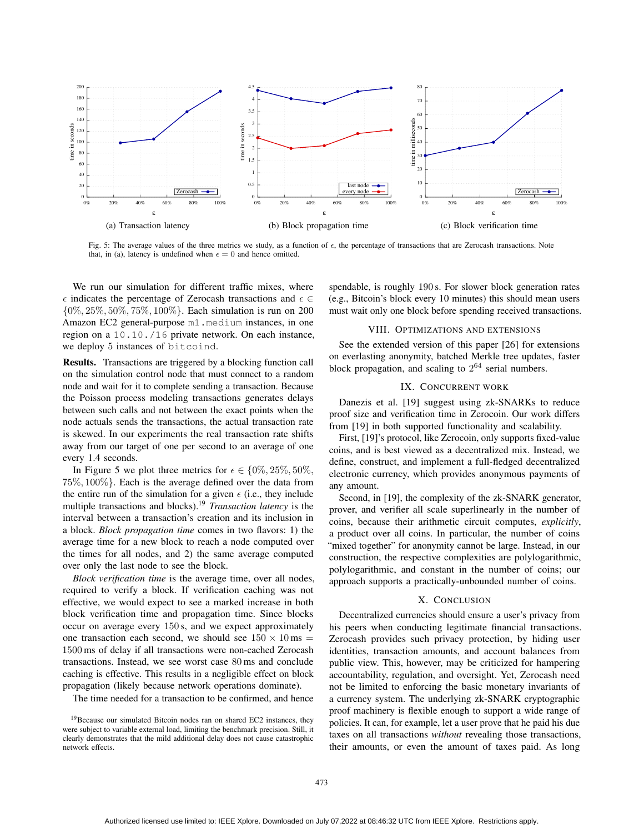

Fig. 5: The average values of the three metrics we study, as a function of  $\epsilon$ , the percentage of transactions that are Zerocash transactions. Note that, in (a), latency is undefined when  $\epsilon = 0$  and hence omitted.

We run our simulation for different traffic mixes, where  $\epsilon$  indicates the percentage of Zerocash transactions and  $\epsilon \in$ {0%, 25%, 50%, 75%, 100%}. Each simulation is run on 200 Amazon EC2 general-purpose m1.medium instances, in one region on a 10.10./16 private network. On each instance, we deploy 5 instances of bitcoind.

Results. Transactions are triggered by a blocking function call on the simulation control node that must connect to a random node and wait for it to complete sending a transaction. Because the Poisson process modeling transactions generates delays between such calls and not between the exact points when the node actuals sends the transactions, the actual transaction rate is skewed. In our experiments the real transaction rate shifts away from our target of one per second to an average of one every 1.4 seconds.

In Figure 5 we plot three metrics for  $\epsilon \in \{0\%, 25\%, 50\%, \ldots\}$ 75%, 100%}. Each is the average defined over the data from the entire run of the simulation for a given  $\epsilon$  (i.e., they include multiple transactions and blocks).<sup>19</sup> *Transaction latency* is the interval between a transaction's creation and its inclusion in a block. *Block propagation time* comes in two flavors: 1) the average time for a new block to reach a node computed over the times for all nodes, and 2) the same average computed over only the last node to see the block.

*Block verification time* is the average time, over all nodes, required to verify a block. If verification caching was not effective, we would expect to see a marked increase in both block verification time and propagation time. Since blocks occur on average every 150 s, and we expect approximately one transaction each second, we should see  $150 \times 10 \text{ ms} =$ 1500 ms of delay if all transactions were non-cached Zerocash transactions. Instead, we see worst case 80 ms and conclude caching is effective. This results in a negligible effect on block propagation (likely because network operations dominate).

The time needed for a transaction to be confirmed, and hence

spendable, is roughly 190 s. For slower block generation rates (e.g., Bitcoin's block every 10 minutes) this should mean users must wait only one block before spending received transactions.

### VIII. OPTIMIZATIONS AND EXTENSIONS

See the extended version of this paper [26] for extensions on everlasting anonymity, batched Merkle tree updates, faster block propagation, and scaling to  $2^{64}$  serial numbers.

## IX. CONCURRENT WORK

Danezis et al. [19] suggest using zk-SNARKs to reduce proof size and verification time in Zerocoin. Our work differs from [19] in both supported functionality and scalability.

First, [19]'s protocol, like Zerocoin, only supports fixed-value coins, and is best viewed as a decentralized mix. Instead, we define, construct, and implement a full-fledged decentralized electronic currency, which provides anonymous payments of any amount.

Second, in [19], the complexity of the zk-SNARK generator, prover, and verifier all scale superlinearly in the number of coins, because their arithmetic circuit computes, *explicitly*, a product over all coins. In particular, the number of coins "mixed together" for anonymity cannot be large. Instead, in our construction, the respective complexities are polylogarithmic, polylogarithmic, and constant in the number of coins; our approach supports a practically-unbounded number of coins.

#### X. CONCLUSION

Decentralized currencies should ensure a user's privacy from his peers when conducting legitimate financial transactions. Zerocash provides such privacy protection, by hiding user identities, transaction amounts, and account balances from public view. This, however, may be criticized for hampering accountability, regulation, and oversight. Yet, Zerocash need not be limited to enforcing the basic monetary invariants of a currency system. The underlying zk-SNARK cryptographic proof machinery is flexible enough to support a wide range of policies. It can, for example, let a user prove that he paid his due taxes on all transactions *without* revealing those transactions, their amounts, or even the amount of taxes paid. As long

<sup>&</sup>lt;sup>19</sup>Because our simulated Bitcoin nodes ran on shared EC2 instances, they were subject to variable external load, limiting the benchmark precision. Still, it clearly demonstrates that the mild additional delay does not cause catastrophic network effects.